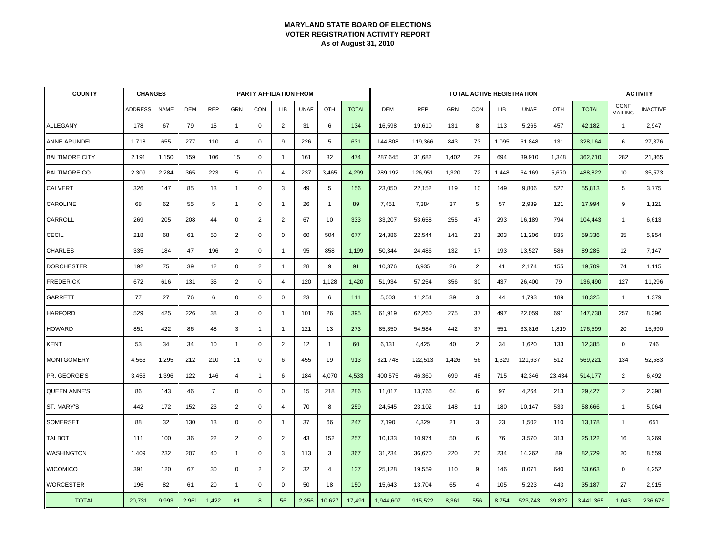| <b>COUNTY</b>         | <b>CHANGES</b> |             |            |                |                | <b>PARTY AFFILIATION FROM</b> |                |             |                |              |           |            |            |                | <b>TOTAL ACTIVE REGISTRATION</b> |             |        |              |                        | <b>ACTIVITY</b> |
|-----------------------|----------------|-------------|------------|----------------|----------------|-------------------------------|----------------|-------------|----------------|--------------|-----------|------------|------------|----------------|----------------------------------|-------------|--------|--------------|------------------------|-----------------|
|                       | <b>ADDRESS</b> | <b>NAME</b> | <b>DEM</b> | <b>REP</b>     | <b>GRN</b>     | CON                           | <b>LIB</b>     | <b>UNAF</b> | OTH            | <b>TOTAL</b> | DEM       | <b>REP</b> | <b>GRN</b> | CON            | <b>LIB</b>                       | <b>UNAF</b> | OTH    | <b>TOTAL</b> | CONF<br><b>MAILING</b> | <b>INACTIVE</b> |
| <b>ALLEGANY</b>       | 178            | 67          | 79         | 15             | $\overline{1}$ | $\mathbf 0$                   | $\overline{2}$ | 31          | 6              | 134          | 16,598    | 19,610     | 131        | 8              | 113                              | 5,265       | 457    | 42,182       | $\overline{1}$         | 2,947           |
| <b>ANNE ARUNDEL</b>   | 1,718          | 655         | 277        | 110            | 4              | $\mathbf 0$                   | 9              | 226         | 5              | 631          | 144,808   | 119,366    | 843        | 73             | 1,095                            | 61,848      | 131    | 328,164      | 6                      | 27,376          |
| <b>BALTIMORE CITY</b> | 2,191          | 1,150       | 159        | 106            | 15             | $\mathbf 0$                   | $\overline{1}$ | 161         | 32             | 474          | 287,645   | 31,682     | 1,402      | 29             | 694                              | 39,910      | 1,348  | 362,710      | 282                    | 21,365          |
| <b>BALTIMORE CO.</b>  | 2,309          | 2,284       | 365        | 223            | 5              | $\mathbf 0$                   | $\overline{4}$ | 237         | 3,465          | 4,299        | 289,192   | 126,951    | 1,320      | 72             | 1,448                            | 64,169      | 5,670  | 488,822      | 10                     | 35,573          |
| <b>CALVERT</b>        | 326            | 147         | 85         | 13             | $\overline{1}$ | $\mathbf 0$                   | 3              | 49          | 5              | 156          | 23,050    | 22,152     | 119        | 10             | 149                              | 9.806       | 527    | 55,813       | 5                      | 3,775           |
| <b>CAROLINE</b>       | 68             | 62          | 55         | 5              | $\overline{1}$ | $\mathbf 0$                   | $\overline{1}$ | 26          | $\mathbf{1}$   | 89           | 7,451     | 7,384      | 37         | 5              | 57                               | 2,939       | 121    | 17,994       | 9                      | 1,121           |
| CARROLL               | 269            | 205         | 208        | 44             | $\mathbf 0$    | $\overline{2}$                | $\overline{2}$ | 67          | 10             | 333          | 33,207    | 53,658     | 255        | 47             | 293                              | 16,189      | 794    | 104,443      | $\overline{1}$         | 6,613           |
| <b>CECIL</b>          | 218            | 68          | 61         | 50             | 2              | $\mathbf 0$                   | $\mathbf 0$    | 60          | 504            | 677          | 24,386    | 22,544     | 141        | 21             | 203                              | 11,206      | 835    | 59,336       | 35                     | 5,954           |
| <b>CHARLES</b>        | 335            | 184         | 47         | 196            | 2              | $\mathbf 0$                   | $\mathbf{1}$   | 95          | 858            | 1,199        | 50,344    | 24,486     | 132        | 17             | 193                              | 13,527      | 586    | 89,285       | 12                     | 7,147           |
| <b>DORCHESTER</b>     | 192            | 75          | 39         | 12             | $\mathbf 0$    | $\overline{2}$                | $\overline{1}$ | 28          | 9              | 91           | 10,376    | 6,935      | 26         | $\overline{2}$ | 41                               | 2,174       | 155    | 19,709       | 74                     | 1,115           |
| <b>FREDERICK</b>      | 672            | 616         | 131        | 35             | $\overline{2}$ | $\mathbf 0$                   | 4              | 120         | 1,128          | 1,420        | 51,934    | 57,254     | 356        | 30             | 437                              | 26,400      | 79     | 136,490      | 127                    | 11,296          |
| <b>GARRETT</b>        | 77             | 27          | 76         | 6              | $\mathbf 0$    | $\mathbf 0$                   | $\mathbf 0$    | 23          | 6              | 111          | 5,003     | 11,254     | 39         | 3              | 44                               | 1,793       | 189    | 18,325       | $\overline{1}$         | 1,379           |
| <b>HARFORD</b>        | 529            | 425         | 226        | 38             | 3              | $\mathbf 0$                   | $\overline{1}$ | 101         | 26             | 395          | 61,919    | 62,260     | 275        | 37             | 497                              | 22,059      | 691    | 147,738      | 257                    | 8,396           |
| <b>HOWARD</b>         | 851            | 422         | 86         | 48             | 3              | $\overline{\mathbf{1}}$       | $\overline{1}$ | 121         | 13             | 273          | 85,350    | 54,584     | 442        | 37             | 551                              | 33,816      | 1,819  | 176,599      | 20                     | 15,690          |
| KENT                  | 53             | 34          | 34         | 10             | $\overline{1}$ | $\mathbf 0$                   | 2              | 12          | $\mathbf{1}$   | 60           | 6,131     | 4,425      | 40         | 2              | 34                               | 1,620       | 133    | 12,385       | $\mathbf 0$            | 746             |
| <b>MONTGOMERY</b>     | 4,566          | 1,295       | 212        | 210            | 11             | $\mathbf 0$                   | 6              | 455         | 19             | 913          | 321,748   | 122,513    | 1,426      | 56             | 1,329                            | 121,637     | 512    | 569,221      | 134                    | 52,583          |
| PR. GEORGE'S          | 3,456          | 1,396       | 122        | 146            | $\overline{4}$ | $\overline{1}$                | 6              | 184         | 4,070          | 4,533        | 400,575   | 46,360     | 699        | 48             | 715                              | 42,346      | 23,434 | 514,177      | $\overline{2}$         | 6,492           |
| <b>QUEEN ANNE'S</b>   | 86             | 143         | 46         | $\overline{7}$ | $\mathbf 0$    | $\mathbf 0$                   | 0              | 15          | 218            | 286          | 11,017    | 13,766     | 64         | 6              | 97                               | 4,264       | 213    | 29,427       | 2                      | 2,398           |
| ST. MARY'S            | 442            | 172         | 152        | 23             | $\overline{2}$ | $\mathbf 0$                   | 4              | 70          | 8              | 259          | 24,545    | 23,102     | 148        | 11             | 180                              | 10,147      | 533    | 58,666       | $\overline{1}$         | 5,064           |
| <b>SOMERSET</b>       | 88             | 32          | 130        | 13             | $\mathbf 0$    | $\mathbf 0$                   | $\mathbf{1}$   | 37          | 66             | 247          | 7,190     | 4,329      | 21         | 3              | 23                               | 1,502       | 110    | 13,178       | $\overline{1}$         | 651             |
| <b>TALBOT</b>         | 111            | 100         | 36         | 22             | 2              | $\mathbf 0$                   | $\overline{2}$ | 43          | 152            | 257          | 10,133    | 10,974     | 50         | 6              | 76                               | 3,570       | 313    | 25,122       | 16                     | 3,269           |
| <b>WASHINGTON</b>     | 1,409          | 232         | 207        | 40             | $\overline{1}$ | $\mathbf 0$                   | 3              | 113         | 3              | 367          | 31,234    | 36,670     | 220        | 20             | 234                              | 14,262      | 89     | 82,729       | 20                     | 8,559           |
| <b>WICOMICO</b>       | 391            | 120         | 67         | 30             | $\mathbf 0$    | $\overline{2}$                | $\overline{2}$ | 32          | $\overline{4}$ | 137          | 25,128    | 19,559     | 110        | 9              | 146                              | 8,071       | 640    | 53,663       | $\mathbf 0$            | 4,252           |
| <b>WORCESTER</b>      | 196            | 82          | 61         | 20             | $\overline{1}$ | $\mathbf 0$                   | $\mathbf 0$    | 50          | 18             | 150          | 15,643    | 13,704     | 65         | $\overline{4}$ | 105                              | 5,223       | 443    | 35,187       | 27                     | 2,915           |
| <b>TOTAL</b>          | 20,731         | 9,993       | 2,961      | 1,422          | 61             | 8                             | 56             | 2,356       | 10,627         | 17,491       | 1,944,607 | 915,522    | 8,361      | 556            | 8,754                            | 523,743     | 39,822 | 3,441,365    | 1,043                  | 236,676         |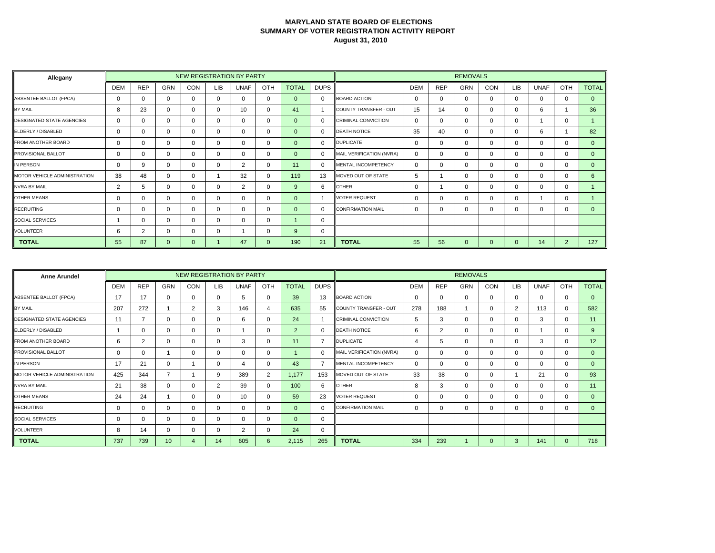| Allegany                            |            |            |              |     |            | NEW REGISTRATION BY PARTY |              |                |             |                            |            |            | <b>REMOVALS</b> |              |            |             |                |              |
|-------------------------------------|------------|------------|--------------|-----|------------|---------------------------|--------------|----------------|-------------|----------------------------|------------|------------|-----------------|--------------|------------|-------------|----------------|--------------|
|                                     | <b>DEM</b> | <b>REP</b> | <b>GRN</b>   | CON | <b>LIB</b> | <b>UNAF</b>               | OTH          | <b>TOTAL</b>   | <b>DUPS</b> |                            | <b>DEM</b> | <b>REP</b> | <b>GRN</b>      | CON          | <b>LIB</b> | <b>UNAF</b> | OTH            | <b>TOTAL</b> |
| ABSENTEE BALLOT (FPCA)              | $\Omega$   | $\Omega$   | $\Omega$     |     | $\Omega$   | $\Omega$                  | $\mathbf 0$  | $\Omega$       | $\Omega$    | <b>BOARD ACTION</b>        | $\Omega$   | $\Omega$   | 0               | $\Omega$     | $\Omega$   | $\Omega$    | $\Omega$       | $\Omega$     |
| BY MAIL                             | 8          | 23         | 0            |     | 0          | 10                        | 0            | 41             |             | COUNTY TRANSFER - OUT      | 15         | 14         | 0               | $\Omega$     | 0          | 6           |                | 36           |
| <b>DESIGNATED STATE AGENCIES</b>    | 0          | $\Omega$   | 0            |     | 0          | $\Omega$                  | 0            | $\overline{0}$ | $\Omega$    | <b>CRIMINAL CONVICTION</b> | $\Omega$   | 0          | 0               | $\Omega$     | $\Omega$   |             | $\Omega$       |              |
| ELDERLY / DISABLED                  | 0          | $\Omega$   | 0            | 0   | 0          | 0                         | 0            | $\Omega$       | $\Omega$    | <b>DEATH NOTICE</b>        | 35         | 40         | 0               | $\Omega$     | $\Omega$   | 6           |                | 82           |
| <b>FROM ANOTHER BOARD</b>           | 0          | 0          | $\Omega$     |     | 0          | $\mathbf{0}$              | 0            | $\Omega$       | $\Omega$    | <b>DUPLICATE</b>           | $\Omega$   | $\Omega$   | 0               | $\Omega$     | $\Omega$   | $\Omega$    | $\Omega$       | $\Omega$     |
| <b>PROVISIONAL BALLOT</b>           | 0          | $\Omega$   | 0            |     | 0          | $\Omega$                  | 0            | $\Omega$       | $\Omega$    | MAIL VERIFICATION (NVRA)   | $\Omega$   | 0          | 0               | $\Omega$     | $\Omega$   | $\Omega$    | $\Omega$       | $\Omega$     |
| IN PERSON                           | 0          | 9          | 0            |     | $\Omega$   | 2                         | 0            | 11             | $\Omega$    | MENTAL INCOMPETENCY        | $\Omega$   | $\Omega$   | 0               | $\Omega$     | $\Omega$   | $\Omega$    | $\Omega$       | $\Omega$     |
| <b>MOTOR VEHICLE ADMINISTRATION</b> | 38         | 48         | 0            | n   |            | 32                        | $\mathbf 0$  | 119            | 13          | MOVED OUT OF STATE         | 5          |            | 0               | $\Omega$     | $\Omega$   | $\Omega$    | $\Omega$       | $6^{\circ}$  |
| <b>NVRA BY MAIL</b>                 | 2          | 5          | 0            |     | 0          | 2                         | 0            | 9              | 6           | <b>OTHER</b>               | $\Omega$   |            | 0               | $\Omega$     | 0          | $\Omega$    | 0              |              |
| <b>OTHER MEANS</b>                  | 0          | $\Omega$   | 0            |     | 0          | $\Omega$                  | 0            | $\Omega$       |             | <b>VOTER REQUEST</b>       | $\Omega$   | 0          | 0               | $\Omega$     | $\Omega$   |             | $\Omega$       |              |
| <b>RECRUITING</b>                   | 0          | $\Omega$   | 0            |     | 0          | 0                         | 0            | $\Omega$       | $\Omega$    | <b>CONFIRMATION MAIL</b>   | $\Omega$   | 0          | 0               | $\Omega$     | 0          | $\Omega$    | 0              | $\Omega$     |
| <b>SOCIAL SERVICES</b>              |            | $\Omega$   | 0            |     | 0          | $\Omega$                  | $\Omega$     |                | $\Omega$    |                            |            |            |                 |              |            |             |                |              |
| <b>VOLUNTEER</b>                    | 6          | 2          | 0            |     | 0          |                           | 0            | 9              | 0           |                            |            |            |                 |              |            |             |                |              |
| <b>TOTAL</b>                        | 55         | 87         | $\mathbf{0}$ | 0   |            | 47                        | $\mathbf{0}$ | 190            | 21          | <b>TOTAL</b>               | 55         | 56         | 0               | $\mathbf{0}$ | $\Omega$   | 14          | $\overline{2}$ | 127          |

| <b>Anne Arundel</b>              |             |            |                 |                |                | NEW REGISTRATION BY PARTY |              |              |             |                            |            |            | <b>REMOVALS</b> |          |                |             |              |                 |
|----------------------------------|-------------|------------|-----------------|----------------|----------------|---------------------------|--------------|--------------|-------------|----------------------------|------------|------------|-----------------|----------|----------------|-------------|--------------|-----------------|
|                                  | <b>DEM</b>  | <b>REP</b> | <b>GRN</b>      | CON            | <b>LIB</b>     | <b>UNAF</b>               | OTH          | <b>TOTAL</b> | <b>DUPS</b> |                            | <b>DEM</b> | <b>REP</b> | <b>GRN</b>      | CON      | <b>LIB</b>     | <b>UNAF</b> | OTH          | <b>TOTAL</b>    |
| <b>ABSENTEE BALLOT (FPCA)</b>    | 17          | 17         | $\Omega$        | 0              | 0              | 5                         | $\mathbf{0}$ | 39           | 13          | <b>BOARD ACTION</b>        | $\Omega$   | 0          | $\mathbf{0}$    | $\Omega$ | 0              | 0           | 0            | $\mathbf{0}$    |
| BY MAIL                          | 207         | 272        |                 | $\overline{2}$ | 3              | 146                       | 4            | 635          | 55          | COUNTY TRANSFER - OUT      | 278        | 188        |                 | $\Omega$ | $\overline{2}$ | 113         | $\mathbf{0}$ | 582             |
| <b>DESIGNATED STATE AGENCIES</b> | 11          |            | $\Omega$        | $\mathbf 0$    | $\Omega$       | 6                         | $\mathbf 0$  | 24           |             | <b>CRIMINAL CONVICTION</b> | 5          | 3          | $\mathbf 0$     | $\Omega$ | $\Omega$       | 3           | 0            | 11              |
| ELDERLY / DISABLED               |             | 0          | 0               | 0              | $\Omega$       |                           | $\mathbf 0$  | 2            | $\Omega$    | <b>DEATH NOTICE</b>        | 6          | 2          | $\mathbf{0}$    | 0        | 0              |             | 0            | 9               |
| <b>FROM ANOTHER BOARD</b>        | 6           | 2          | $\Omega$        | $\Omega$       |                | 3                         | $\mathbf 0$  | 11           | 7           | <b>DUPLICATE</b>           |            | 5          | $\mathbf{0}$    | $\Omega$ | $\Omega$       | 3           | $\Omega$     | 12 <sup>2</sup> |
| <b>PROVISIONAL BALLOT</b>        | $\Omega$    | $\Omega$   |                 | $\Omega$       | $\Omega$       | 0                         | $\mathbf 0$  |              | 0           | MAIL VERIFICATION (NVRA)   | $\Omega$   | 0          | $\mathbf 0$     | $\Omega$ | $\Omega$       | $\Omega$    | 0            | $\overline{0}$  |
| IN PERSON                        | 17          | 21         | 0               |                | $\Omega$       | 4                         | $\mathbf 0$  | 43           |             | <b>MENTAL INCOMPETENCY</b> | $\Omega$   | 0          | $\mathbf 0$     | 0        | 0              | 0           | 0            | $\overline{0}$  |
| MOTOR VEHICLE ADMINISTRATION     | 425         | 344        | 7               |                | 9              | 389                       | 2            | 1.177        | 153         | MOVED OUT OF STATE         | 33         | 38         | $\mathbf{0}$    | $\Omega$ |                | 21          | 0            | 93              |
| <b>NVRA BY MAIL</b>              | 21          | 38         | $\Omega$        | $\Omega$       | $\overline{2}$ | 39                        | $\mathbf{0}$ | 100          | 6           | <b>OTHER</b>               | 8          | 3          | $\Omega$        | $\Omega$ | 0              | $\Omega$    | $\mathbf{0}$ | 11              |
| OTHER MEANS                      | 24          | 24         |                 | 0              | $\Omega$       | 10                        | $\mathbf 0$  | 59           | 23          | <b>VOTER REQUEST</b>       | $\Omega$   | 0          | $\mathbf{0}$    | $\Omega$ | 0              | $\Omega$    | $\mathbf{0}$ | $\Omega$        |
| <b>RECRUITING</b>                | $\mathbf 0$ | 0          | $\Omega$        | $\Omega$       | $\Omega$       | 0                         | $\mathbf{0}$ | $\Omega$     | $\Omega$    | <b>CONFIRMATION MAIL</b>   | $\Omega$   | 0          | $\mathbf{0}$    | $\Omega$ | 0              | $\Omega$    | $\Omega$     | $\Omega$        |
| <b>SOCIAL SERVICES</b>           | $\Omega$    | $\Omega$   | $\Omega$        | $\Omega$       | $\Omega$       | 0                         | $\mathbf 0$  | $\Omega$     | 0           |                            |            |            |                 |          |                |             |              |                 |
| VOLUNTEER                        | 8           | 14         | $\Omega$        | 0              | $\Omega$       | 2                         | $\mathbf 0$  | 24           | 0           |                            |            |            |                 |          |                |             |              |                 |
| <b>TOTAL</b>                     | 737         | 739        | 10 <sup>°</sup> | $\overline{A}$ | 14             | 605                       | 6            | 2,115        | 265         | <b>TOTAL</b>               | 334        | 239        |                 | $\Omega$ | 3              | 141         | $\Omega$     | 718             |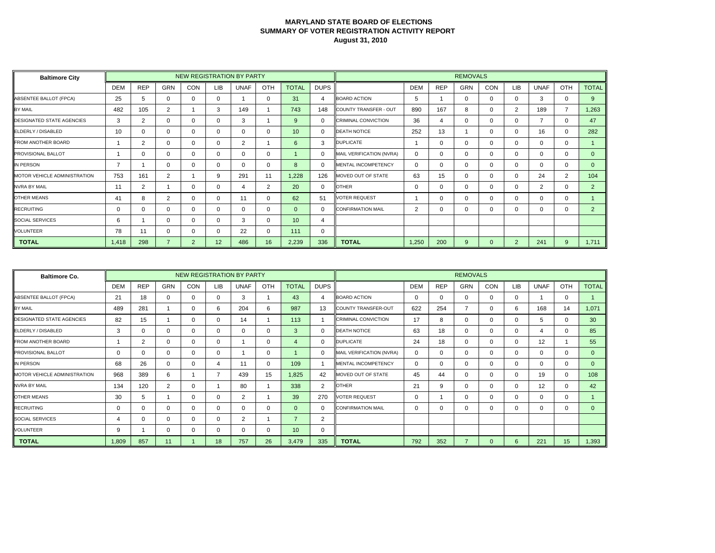| <b>Baltimore City</b>               |            |                |            |             |     | <b>NEW REGISTRATION BY PARTY</b> |          |              |             |                            |                |              | <b>REMOVALS</b> |          |                |                |          |              |
|-------------------------------------|------------|----------------|------------|-------------|-----|----------------------------------|----------|--------------|-------------|----------------------------|----------------|--------------|-----------------|----------|----------------|----------------|----------|--------------|
|                                     | <b>DEM</b> | <b>REP</b>     | <b>GRN</b> | CON         | LIB | <b>UNAF</b>                      | OTH      | <b>TOTAL</b> | <b>DUPS</b> |                            | <b>DEM</b>     | <b>REP</b>   | <b>GRN</b>      | CON      | <b>LIB</b>     | <b>UNAF</b>    | OTH      | <b>TOTAL</b> |
| ABSENTEE BALLOT (FPCA)              | 25         | 5              | 0          |             | 0   |                                  | 0        | 31           | 4           | <b>BOARD ACTION</b>        | 5              |              | 0               | $\Omega$ | $\Omega$       | 3              | $\Omega$ | $9^{\circ}$  |
| <b>BY MAIL</b>                      | 482        | 105            | 2          |             | 3   | 149                              |          | 743          | 148         | COUNTY TRANSFER - OUT      | 890            | 167          | 8               | $\Omega$ | $\overline{2}$ | 189            |          | 1,263        |
| <b>DESIGNATED STATE AGENCIES</b>    | 3          | $\overline{2}$ | 0          |             | 0   | 3                                |          | 9            | 0           | <b>CRIMINAL CONVICTION</b> | 36             | 4            | 0               | $\Omega$ | $\Omega$       | $\overline{7}$ | $\Omega$ | 47           |
| ELDERLY / DISABLED                  | 10         | $\Omega$       | 0          |             | 0   | 0                                | 0        | 10           | $\Omega$    | <b>DEATH NOTICE</b>        | 252            | 13           |                 | $\Omega$ | $\Omega$       | 16             | $\Omega$ | 282          |
| <b>FROM ANOTHER BOARD</b>           |            | 2              | 0          |             | 0   | 2                                |          | 6            | 3           | <b>DUPLICATE</b>           |                | O            | 0               | $\Omega$ | $\Omega$       | $\Omega$       | $\Omega$ |              |
| <b>PROVISIONAL BALLOT</b>           |            | $\Omega$       | 0          |             | 0   | $\Omega$                         | 0        |              | O           | MAIL VERIFICATION (NVRA)   | $\Omega$       | 0            | 0               | $\Omega$ | 0              | $\Omega$       | $\Omega$ | $\Omega$     |
| IN PERSON                           | 7          |                | 0          |             | 0   | $\Omega$                         | 0        | 8            | $\Omega$    | MENTAL INCOMPETENCY        | $\Omega$       |              | 0               | $\Omega$ | $\Omega$       | $\Omega$       | $\Omega$ | $\Omega$     |
| <b>MOTOR VEHICLE ADMINISTRATION</b> | 753        | 161            | 2          |             | 9   | 291                              | 11       | 1,228        | 126         | MOVED OUT OF STATE         | 63             | 15           | 0               | $\Omega$ | $\Omega$       | 24             | 2        | 104          |
| <b>NVRA BY MAIL</b>                 | 11         | 2              |            |             | 0   | 4                                | 2        | 20           | $\Omega$    | <b>OTHER</b>               | $\Omega$       | U            | 0               | $\Omega$ | 0              | 2              | $\Omega$ | 2            |
| <b>OTHER MEANS</b>                  | 41         | 8              | 2          |             | 0   | 11                               | $\Omega$ | 62           | 51          | <b>VOTER REQUEST</b>       |                | <sup>n</sup> | 0               | $\Omega$ | $\Omega$       | $\Omega$       | $\Omega$ |              |
| <b>RECRUITING</b>                   | 0          | $\Omega$       | 0          |             | 0   | 0                                | 0        | $\Omega$     | $\Omega$    | <b>CONFIRMATION MAIL</b>   | $\overline{2}$ |              |                 | $\Omega$ | 0              | $\Omega$       | 0        | 2            |
| <b>SOCIAL SERVICES</b>              | 6          |                | 0          |             | 0   | 3                                | $\Omega$ | 10           | 4           |                            |                |              |                 |          |                |                |          |              |
| <b>VOLUNTEER</b>                    | 78         | 11             | 0          |             | 0   | 22                               | 0        | 111          | 0           |                            |                |              |                 |          |                |                |          |              |
| <b>TOTAL</b>                        | 1,418      | 298            |            | $2^{\circ}$ | 12  | 486                              | 16       | 2,239        | 336         | <b>TOTAL</b>               | 1,250          | 200          | 9               | 0        | $\overline{2}$ | 241            | 9        | 1,711        |

| <b>Baltimore Co.</b>             |            |             |          |     |            | <b>NEW REGISTRATION BY PARTY</b> |             |                          |             |                            |            |            | <b>REMOVALS</b> |          |          |             |              |                 |
|----------------------------------|------------|-------------|----------|-----|------------|----------------------------------|-------------|--------------------------|-------------|----------------------------|------------|------------|-----------------|----------|----------|-------------|--------------|-----------------|
|                                  | <b>DEM</b> | <b>REP</b>  | GRN      | CON | <b>LIB</b> | <b>UNAF</b>                      | OTH         | <b>TOTAL</b>             | <b>DUPS</b> |                            | <b>DEM</b> | <b>REP</b> | <b>GRN</b>      | CON      | LIB      | <b>UNAF</b> | OTH          | <b>TOTAL</b>    |
| <b>ABSENTEE BALLOT (FPCA)</b>    | 21         | 18          | ∩        | 0   |            | 3                                |             | 43                       | 4           | <b>BOARD ACTION</b>        | 0          | 0          | 0               | $\Omega$ | 0        |             | 0            |                 |
| <b>BY MAIL</b>                   | 489        | 281         |          | 0   | 6          | 204                              | 6           | 987                      | 13          | COUNTY TRANSFER-OUT        | 622        | 254        |                 | $\Omega$ | 6        | 168         | 14           | 1,071           |
| <b>DESIGNATED STATE AGENCIES</b> | 82         | 15          |          | 0   |            | 14                               |             | 113                      |             | <b>CRIMINAL CONVICTION</b> | 17         | 8          | 0               | $\Omega$ | $\Omega$ | 5           | 0            | 30 <sup>°</sup> |
| ELDERLY / DISABLED               | 3          | 0           | ∩        | 0   |            | 0                                | $\mathbf 0$ | 3                        | 0           | <b>DEATH NOTICE</b>        | 63         | 18         | $\mathbf{0}$    | $\Omega$ | 0        |             | $\Omega$     | 85              |
| <b>FROM ANOTHER BOARD</b>        |            | 2           | ∩        | 0   |            |                                  | 0           | $\overline{4}$           | 0           | <b>DUPLICATE</b>           | 24         | 18         | 0               | $\Omega$ | 0        | 12          |              | 55              |
| <b>PROVISIONAL BALLOT</b>        | 0          | 0           | ∩        | 0   |            |                                  | $\mathbf 0$ |                          | 0           | MAIL VERIFICATION (NVRA)   | 0          | $\Omega$   | 0               | $\Omega$ | $\Omega$ | 0           | $\mathbf{0}$ | $\mathbf{0}$    |
| IN PERSON                        | 68         | 26          | $\Omega$ | 0   |            | 11                               | $\mathbf 0$ | 109                      |             | <b>MENTAL INCOMPETENCY</b> | 0          | $\Omega$   | $\mathbf{0}$    | $\Omega$ | 0        | 0           | $\Omega$     | $\mathbf{0}$    |
| MOTOR VEHICLE ADMINISTRATION     | 968        | 389         | 6        |     |            | 439                              | 15          | 1,825                    | 42          | MOVED OUT OF STATE         | 45         | 44         | 0               | $\Omega$ |          | 19          | 0            | 108             |
| <b>NVRA BY MAIL</b>              | 134        | 120         | 2        | 0   |            | 80                               |             | 338                      | 2           | <b>OTHER</b>               | 21         | 9          | 0               | $\Omega$ | $\Omega$ | 12          | 0            | 42              |
| <b>OTHER MEANS</b>               | 30         | 5           |          | 0   |            | 2                                |             | 39                       | 270         | <b>VOTER REQUEST</b>       | O          |            | 0               | $\Omega$ | 0        | 0           | $\Omega$     |                 |
| <b>RECRUITING</b>                | $\Omega$   | 0           | ∩        | 0   |            | 0                                | $\Omega$    | $\Omega$                 | 0           | <b>CONFIRMATION MAIL</b>   |            | 0          | $\Omega$        | $\Omega$ | 0        | $\Omega$    | $\Omega$     | $\Omega$        |
| <b>SOCIAL SERVICES</b>           | 4          | $\mathbf 0$ | ∩        | 0   |            | 2                                |             | $\overline{\phantom{a}}$ | 2           |                            |            |            |                 |          |          |             |              |                 |
| <b>VOLUNTEER</b>                 | 9          |             | ∩        | 0   |            | 0                                | $\mathbf 0$ | 10                       | 0           |                            |            |            |                 |          |          |             |              |                 |
| <b>TOTAL</b>                     | 1,809      | 857         | 11       |     | 18         | 757                              | 26          | 3,479                    | 335         | <b>TOTAL</b>               | 792        | 352        |                 |          | 6        | 221         | 15           | 1,393           |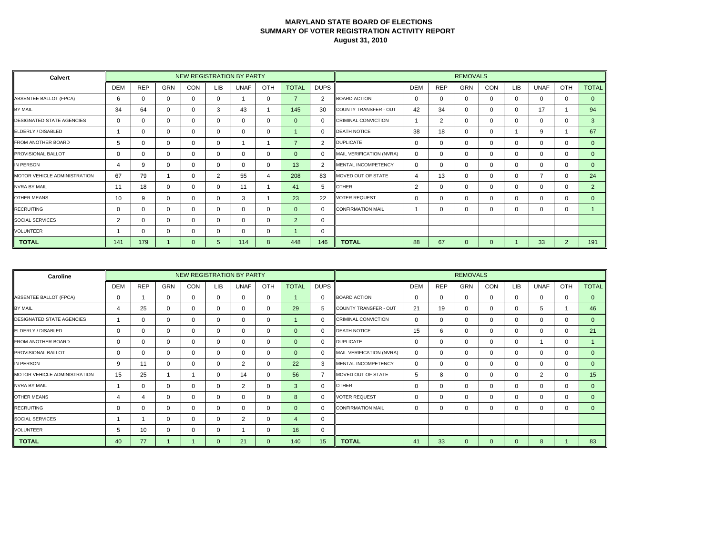| Calvert                          |            |             |            |            |          | NEW REGISTRATION BY PARTY |              |                |             |                            |            |                | <b>REMOVALS</b> |             |             |             |          |                |
|----------------------------------|------------|-------------|------------|------------|----------|---------------------------|--------------|----------------|-------------|----------------------------|------------|----------------|-----------------|-------------|-------------|-------------|----------|----------------|
|                                  | <b>DEM</b> | <b>REP</b>  | <b>GRN</b> | <b>CON</b> | LIB      | <b>UNAF</b>               | OTH          | <b>TOTAL</b>   | <b>DUPS</b> |                            | <b>DEM</b> | <b>REP</b>     | <b>GRN</b>      | <b>CON</b>  | <b>LIB</b>  | <b>UNAF</b> | OTH      | <b>TOTAL</b>   |
| <b>ABSENTEE BALLOT (FPCA)</b>    | 6          | $\mathbf 0$ | $\Omega$   | $\Omega$   | $\Omega$ |                           | $\mathbf 0$  | $\overline{7}$ | 2           | <b>BOARD ACTION</b>        | $\Omega$   | $\Omega$       | $\Omega$        | $\mathbf 0$ | $\mathbf 0$ | $\mathbf 0$ | $\Omega$ | $\overline{0}$ |
| BY MAIL                          | 34         | 64          | $\Omega$   | 0          | 3        | 43                        |              | 145            | 30          | COUNTY TRANSFER - OUT      | 42         | 34             | 0               | 0           | 0           | 17          |          | 94             |
| <b>DESIGNATED STATE AGENCIES</b> | 0          | $\mathbf 0$ | $\Omega$   | 0          |          | 0                         | $\mathbf 0$  | $\Omega$       | 0           | <b>CRIMINAL CONVICTION</b> |            | $\overline{2}$ | 0               | 0           | $\mathbf 0$ | 0           | 0        | 3              |
| ELDERLY / DISABLED               |            | $\mathbf 0$ | $\Omega$   | $\Omega$   | 0        | 0                         | $\mathbf 0$  |                | $\Omega$    | <b>DEATH NOTICE</b>        | 38         | 18             | $\Omega$        | 0           |             | 9           |          | 67             |
| FROM ANOTHER BOARD               | 5          | 0           | $\Omega$   | 0          |          |                           |              | $\overline{7}$ | 2           | <b>DUPLICATE</b>           | 0          | 0              | 0               | 0           | 0           | 0           | 0        | $\mathbf{0}$   |
| PROVISIONAL BALLOT               | 0          | $\mathbf 0$ | $\Omega$   | 0          |          | 0                         | $\mathbf 0$  | $\mathbf{0}$   | 0           | MAIL VERIFICATION (NVRA)   | $\Omega$   | 0              | $\Omega$        | $\mathbf 0$ | $\mathbf 0$ | 0           | 0        | $\mathbf{0}$   |
| IN PERSON                        | 4          | 9           | $\Omega$   | 0          | 0        | 0                         | $\mathbf 0$  | 13             | 2           | <b>MENTAL INCOMPETENCY</b> | $\Omega$   | $\Omega$       | $\Omega$        | 0           | $\mathbf 0$ | $\mathbf 0$ | $\Omega$ | $\Omega$       |
| MOTOR VEHICLE ADMINISTRATION     | 67         | 79          |            | 0          | 2        | 55                        | 4            | 208            | 83          | MOVED OUT OF STATE         |            | 13             | 0               | 0           | 0           |             | $\Omega$ | 24             |
| <b>NVRA BY MAIL</b>              | 11         | 18          | $\Omega$   | 0          |          | 11                        |              | 41             | 5           | <b>OTHER</b>               | 2          | 0              | $\Omega$        | $\Omega$    | $\Omega$    | $\Omega$    | $\Omega$ | $\overline{2}$ |
| <b>OTHER MEANS</b>               | 10         | 9           | $\Omega$   | $\Omega$   | 0        | 3                         |              | 23             | 22          | <b>VOTER REQUEST</b>       | $\Omega$   | 0              | $\Omega$        | 0           | 0           | 0           | $\Omega$ | $\Omega$       |
| <b>RECRUITING</b>                | 0          | 0           | $\Omega$   | 0          |          | 0                         | $\mathbf{0}$ | $\Omega$       | $\Omega$    | <b>CONFIRMATION MAIL</b>   |            | 0              | $\Omega$        | 0           | $\Omega$    | $\Omega$    | 0        |                |
| <b>SOCIAL SERVICES</b>           | 2          | $\mathbf 0$ | $\Omega$   | 0          |          | 0                         | $\mathbf 0$  | 2              | 0           |                            |            |                |                 |             |             |             |          |                |
| <b>VOLUNTEER</b>                 |            | 0           | $\Omega$   | $\Omega$   | 0        | 0                         | $\mathbf{0}$ |                | 0           |                            |            |                |                 |             |             |             |          |                |
| <b>TOTAL</b>                     | 141        | 179         |            | $\Omega$   | 5.       | 114                       | 8            | 448            | 146         | <b>TOTAL</b>               | 88         | 67             | $\Omega$        | $\Omega$    |             | 33          | 2        | 191            |

| Caroline                         |            |             |            |            | NEW REGISTRATION BY PARTY |              |             |                |             |                            |            |              | <b>REMOVALS</b> |             |            |             |          |                  |
|----------------------------------|------------|-------------|------------|------------|---------------------------|--------------|-------------|----------------|-------------|----------------------------|------------|--------------|-----------------|-------------|------------|-------------|----------|------------------|
|                                  | <b>DEM</b> | <b>REP</b>  | <b>GRN</b> | <b>CON</b> | LIB                       | <b>UNAF</b>  | OTH         | <b>TOTAL</b>   | <b>DUPS</b> |                            | <b>DEM</b> | <b>REP</b>   | <b>GRN</b>      | <b>CON</b>  | <b>LIB</b> | <b>UNAF</b> | OTH      | <b>TOTAL</b>     |
| ABSENTEE BALLOT (FPCA)           | 0          |             | $\Omega$   | 0          | 0                         | $\mathbf{0}$ | $\mathbf 0$ |                | $\mathbf 0$ | <b>BOARD ACTION</b>        | 0          | $\mathbf{0}$ | $\Omega$        | $\Omega$    | $\Omega$   | $\mathbf 0$ | $\Omega$ | $\mathbf{0}$     |
| <b>BY MAIL</b>                   | 4          | 25          | $\Omega$   | 0          |                           | 0            | 0           | 29             | 5           | COUNTY TRANSFER - OUT      | 21         | 19           | 0               | $\Omega$    | 0          | 5           |          | 46               |
| <b>DESIGNATED STATE AGENCIES</b> |            | $\mathbf 0$ | $\Omega$   | 0          |                           | 0            | $\mathbf 0$ |                | 0           | <b>CRIMINAL CONVICTION</b> |            | $\mathbf 0$  | $\Omega$        | $\mathbf 0$ | 0          | $\mathbf 0$ | $\Omega$ | $\mathbf{0}$     |
| ELDERLY / DISABLED               | 0          | $\mathbf 0$ | $\Omega$   | 0          |                           | $\mathbf{0}$ | 0           | $\Omega$       | $\Omega$    | <b>DEATH NOTICE</b>        | 15         | 6            | $\Omega$        | $\Omega$    | $\Omega$   | $\mathbf 0$ | $\Omega$ | 21               |
| <b>FROM ANOTHER BOARD</b>        | 0          | 0           | $\Omega$   | 0          |                           | 0            | 0           | $\Omega$       | $\Omega$    | <b>DUPLICATE</b>           |            | 0            | $\Omega$        | $\Omega$    | $\Omega$   |             | $\Omega$ |                  |
| <b>PROVISIONAL BALLOT</b>        | 0          | $\mathbf 0$ | $\Omega$   | 0          |                           | 0            | $\mathbf 0$ | $\mathbf{0}$   | 0           | MAIL VERIFICATION (NVRA)   |            | $\mathbf 0$  | 0               | $\mathbf 0$ | 0          | $\mathbf 0$ | $\Omega$ | $\mathbf{0}$     |
| IN PERSON                        | 9          | 11          | $\Omega$   | 0          |                           | 2            | $\Omega$    | 22             | 3           | MENTAL INCOMPETENCY        |            | $\Omega$     | $\Omega$        | $\Omega$    | $\Omega$   | $\Omega$    | $\Omega$ | $\mathbf{0}$     |
| MOTOR VEHICLE ADMINISTRATION     | 15         | 25          |            |            |                           | 14           | 0           | 56             |             | MOVED OUT OF STATE         | 5          | 8            | 0               | $\Omega$    | $\Omega$   | 2           | $\Omega$ | 15 <sup>15</sup> |
| <b>NVRA BY MAIL</b>              |            | $\mathbf 0$ | $\Omega$   | 0          |                           | 2            | $\mathbf 0$ | 3              | 0           | <b>OTHER</b>               |            | $\mathbf{0}$ | $\Omega$        | 0           | 0          | $\mathbf 0$ | $\Omega$ | $\mathbf{0}$     |
| <b>OTHER MEANS</b>               | 4          | 4           | $\Omega$   | 0          |                           | $\Omega$     | $\Omega$    | 8              | 0           | <b>VOTER REQUEST</b>       |            | 0            | $\Omega$        | $\Omega$    | $\Omega$   | $\Omega$    | $\Omega$ | $\Omega$         |
| <b>RECRUITING</b>                | 0          | $\Omega$    | $\Omega$   | 0          |                           | $\Omega$     | 0           | $\Omega$       | $\Omega$    | <b>CONFIRMATION MAIL</b>   |            | 0            | 0               | $\Omega$    | $\Omega$   | $\Omega$    | $\Omega$ | $\Omega$         |
| <b>SOCIAL SERVICES</b>           |            |             | $\Omega$   | 0          |                           | 2            | $\mathbf 0$ | $\overline{4}$ | $\mathbf 0$ |                            |            |              |                 |             |            |             |          |                  |
| <b>VOLUNTEER</b>                 | 5          | 10          | $\Omega$   | 0          |                           |              | $\Omega$    | 16             | $\Omega$    |                            |            |              |                 |             |            |             |          |                  |
| <b>TOTAL</b>                     | 40         | 77          |            |            |                           | 21           | $\Omega$    | 140            | 15          | <b>TOTAL</b>               | 41         | 33           |                 |             | $\Omega$   | 8           |          | 83               |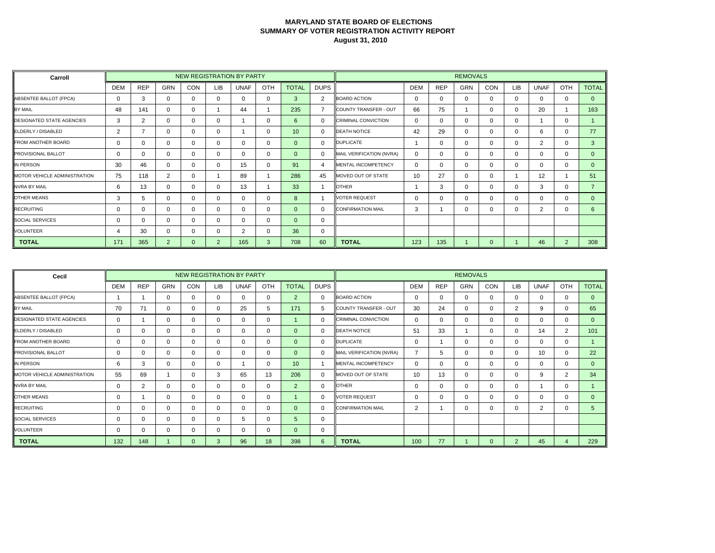| Carroll                             |            |                |                |     |                | <b>NEW REGISTRATION BY PARTY</b> |          |              |             |                            |            |            | <b>REMOVALS</b> |              |            |                |          |                |
|-------------------------------------|------------|----------------|----------------|-----|----------------|----------------------------------|----------|--------------|-------------|----------------------------|------------|------------|-----------------|--------------|------------|----------------|----------|----------------|
|                                     | <b>DEM</b> | <b>REP</b>     | <b>GRN</b>     | CON | LIB            | <b>UNAF</b>                      | OTH      | <b>TOTAL</b> | <b>DUPS</b> |                            | <b>DEM</b> | <b>REP</b> | <b>GRN</b>      | CON          | <b>LIB</b> | <b>UNAF</b>    | OTH      | <b>TOTAL</b>   |
| ABSENTEE BALLOT (FPCA)              | $\Omega$   | 3              | $\Omega$       |     | 0              | $\Omega$                         | 0        | 3            | 2           | <b>BOARD ACTION</b>        | $\Omega$   | $\Omega$   | 0               | $\Omega$     | $\Omega$   | $\Omega$       | $\Omega$ | $\Omega$       |
| <b>BY MAIL</b>                      | 48         | 141            | 0              |     |                | 44                               |          | 235          |             | COUNTY TRANSFER - OUT      | 66         | 75         |                 | $\Omega$     | 0          | 20             |          | 163            |
| <b>DESIGNATED STATE AGENCIES</b>    | 3          | $\overline{2}$ | 0              |     | 0              |                                  | 0        | 6            | $\Omega$    | <b>CRIMINAL CONVICTION</b> | $\Omega$   | 0          |                 | $\Omega$     | $\Omega$   |                | $\Omega$ |                |
| ELDERLY / DISABLED                  | 2          | 7              | 0              |     | $\Omega$       |                                  | 0        | 10           | $\Omega$    | <b>DEATH NOTICE</b>        | 42         | 29         | 0               | $\Omega$     | $\Omega$   | 6              | $\Omega$ | 77             |
| <b>FROM ANOTHER BOARD</b>           | $\Omega$   | $\Omega$       | $\Omega$       |     | 0              | 0                                | 0        | $\Omega$     | $\Omega$    | <b>DUPLICATE</b>           |            | $\Omega$   | 0               | $\Omega$     | $\Omega$   | $\overline{2}$ | $\Omega$ | 3              |
| <b>PROVISIONAL BALLOT</b>           | 0          | $\Omega$       | 0              |     | 0              | $\Omega$                         | 0        | $\Omega$     | $\Omega$    | MAIL VERIFICATION (NVRA)   | $\Omega$   | 0          | 0               | $\Omega$     | $\Omega$   | $\Omega$       | $\Omega$ | $\Omega$       |
| IN PERSON                           | 30         | 46             | 0              |     | $\Omega$       | 15                               | 0        | 91           | 4           | <b>MENTAL INCOMPETENCY</b> | $\Omega$   |            | 0               | $\Omega$     | $\Omega$   | $\Omega$       | $\Omega$ | $\Omega$       |
| <b>MOTOR VEHICLE ADMINISTRATION</b> | 75         | 118            | 2              | n   |                | 89                               |          | 286          | 45          | MOVED OUT OF STATE         | 10         | 27         | $\Omega$        | $\Omega$     |            | 12             |          | 51             |
| <b>NVRA BY MAIL</b>                 | 6          | 13             | 0              |     | 0              | 13                               |          | 33           |             | <b>OTHER</b>               |            | 3          | 0               | $\Omega$     | 0          | 3              | $\Omega$ | $\overline{7}$ |
| <b>OTHER MEANS</b>                  | 3          | 5              | 0              |     | 0              | $\Omega$                         | $\Omega$ | 8            |             | <b>VOTER REQUEST</b>       | $\Omega$   | 0          | 0               | $\Omega$     | $\Omega$   | $\Omega$       | $\Omega$ | $\Omega$       |
| <b>RECRUITING</b>                   | 0          | $\Omega$       | 0              |     | 0              | 0                                | 0        | $\Omega$     | $\Omega$    | <b>CONFIRMATION MAIL</b>   | 3          |            | 0               | $\Omega$     | 0          | 2              | 0        | 6              |
| <b>SOCIAL SERVICES</b>              | 0          | $\Omega$       | 0              |     | 0              | $\Omega$                         | $\Omega$ | $\Omega$     | $\Omega$    |                            |            |            |                 |              |            |                |          |                |
| <b>VOLUNTEER</b>                    | 4          | 30             | 0              |     | 0              | 2                                | 0        | 36           | 0           |                            |            |            |                 |              |            |                |          |                |
| <b>TOTAL</b>                        | 171        | 365            | $\overline{2}$ | 0   | $\overline{2}$ | 165                              | 3        | 708          | 60          | <b>TOTAL</b>               | 123        | 135        |                 | $\mathbf{0}$ |            | 46             | 2        | 308            |

| Cecil                            |            |                |            |            |     | NEW REGISTRATION BY PARTY |              |                 |              |                            |            |            | <b>REMOVALS</b> |          |                |                |                |              |
|----------------------------------|------------|----------------|------------|------------|-----|---------------------------|--------------|-----------------|--------------|----------------------------|------------|------------|-----------------|----------|----------------|----------------|----------------|--------------|
|                                  | <b>DEM</b> | <b>REP</b>     | <b>GRN</b> | <b>CON</b> | LIB | <b>UNAF</b>               | OTH          | <b>TOTAL</b>    | <b>DUPS</b>  |                            | <b>DEM</b> | <b>REP</b> | <b>GRN</b>      | CON      | <b>LIB</b>     | <b>UNAF</b>    | OTH            | <b>TOTAL</b> |
| ABSENTEE BALLOT (FPCA)           |            |                | $\Omega$   | 0          | 0   | $\Omega$                  | 0            | 2               | 0            | <b>BOARD ACTION</b>        | $\Omega$   | 0          | $\mathbf 0$     | $\Omega$ | 0              | $\Omega$       | $\Omega$       | $\mathbf{0}$ |
| BY MAIL                          | 70         | 71             | 0          | 0          | 0   | 25                        | 5            | 171             | 5            | COUNTY TRANSFER - OUT      | 30         | 24         | $\mathbf{0}$    | $\Omega$ | $\overline{2}$ | 9              | 0              | 65           |
| <b>DESIGNATED STATE AGENCIES</b> | 0          |                | 0          | 0          |     | 0                         | 0            |                 | $\mathbf{0}$ | <b>CRIMINAL CONVICTION</b> | 0          | 0          | $\mathbf 0$     | $\Omega$ | 0              | 0              | $\mathbf{0}$   | $\mathbf{0}$ |
| ELDERLY / DISABLED               | 0          | $\Omega$       | $\Omega$   | $\Omega$   |     | $\Omega$                  | 0            | $\Omega$        | $\Omega$     | <b>DEATH NOTICE</b>        | 51         | 33         |                 | $\Omega$ | 0              | 14             | $\overline{2}$ | 101          |
| <b>FROM ANOTHER BOARD</b>        | 0          | $\mathbf 0$    | $\Omega$   | 0          |     | 0                         | $\mathbf 0$  | $\Omega$        | $\Omega$     | <b>DUPLICATE</b>           |            |            | $\mathbf{0}$    | $\Omega$ | 0              | $\Omega$       | $\mathbf 0$    |              |
| <b>PROVISIONAL BALLOT</b>        | 0          | $\mathbf 0$    | $\Omega$   | 0          |     | $\Omega$                  | 0            | $\Omega$        | $\mathbf{0}$ | MAIL VERIFICATION (NVRA)   |            | 5          | $\mathbf 0$     | $\Omega$ | ∩              | 10             | 0              | 22           |
| IN PERSON                        | 6          | 3              | $\Omega$   | $\Omega$   | 0   |                           | $\mathbf 0$  | 10 <sup>°</sup> |              | MENTAL INCOMPETENCY        | 0          | 0          | $\mathbf{0}$    | $\Omega$ | 0              | $\Omega$       | 0              | $\mathbf{0}$ |
| MOTOR VEHICLE ADMINISTRATION     | 55         | 69             |            | 0          | 3   | 65                        | 13           | 206             | $\Omega$     | MOVED OUT OF STATE         | 10         | 13         | $\mathbf{0}$    | $\Omega$ | 0              | 9              | 2              | 34           |
| <b>NVRA BY MAIL</b>              | 0          | $\overline{2}$ | $\Omega$   | 0          | 0   | $\Omega$                  | $\mathbf{0}$ | $\overline{2}$  | $\mathbf{0}$ | <b>OTHER</b>               | 0          | 0          | $\Omega$        | $\Omega$ | 0              |                | $\mathbf{0}$   |              |
| <b>OTHER MEANS</b>               | 0          |                | $\Omega$   | 0          |     | $\Omega$                  | 0            |                 | $\Omega$     | <b>VOTER REQUEST</b>       | 0          | 0          | $\Omega$        | $\Omega$ | 0              | $\Omega$       | $\Omega$       | $\Omega$     |
| <b>RECRUITING</b>                | 0          | 0              | $\Omega$   | $\Omega$   |     | $\mathbf{0}$              | $\mathbf{0}$ | $\Omega$        | $\Omega$     | <b>CONFIRMATION MAIL</b>   | 2          |            | $\mathbf{0}$    | $\Omega$ | 0              | $\overline{2}$ | $\Omega$       | 5            |
| SOCIAL SERVICES                  | 0          | 0              | $\Omega$   | 0          |     | 5                         | 0            | $\overline{5}$  | 0            |                            |            |            |                 |          |                |                |                |              |
| <b>VOLUNTEER</b>                 | 0          | $\mathbf 0$    | 0          | 0          |     | 0                         | 0            | $\mathbf{0}$    | 0            |                            |            |            |                 |          |                |                |                |              |
| <b>TOTAL</b>                     | 132        | 148            |            | $\Omega$   | 3   | 96                        | 18           | 398             | $6^{\circ}$  | <b>TOTAL</b>               | 100        | 77         |                 | $\Omega$ | $\overline{2}$ | 45             | Δ              | 229          |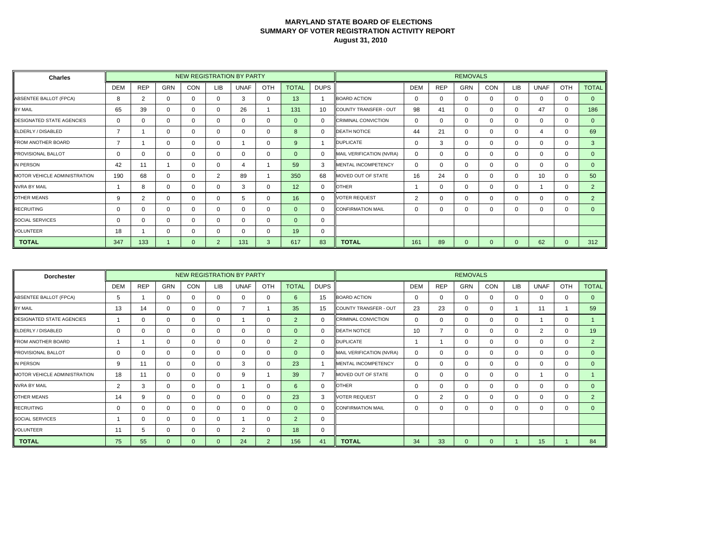| <b>Charles</b>                      |                |            |            |     |                | <b>NEW REGISTRATION BY PARTY</b> |          |                |             |                            |                |            | <b>REMOVALS</b> |              |            |             |          |                |
|-------------------------------------|----------------|------------|------------|-----|----------------|----------------------------------|----------|----------------|-------------|----------------------------|----------------|------------|-----------------|--------------|------------|-------------|----------|----------------|
|                                     | <b>DEM</b>     | <b>REP</b> | <b>GRN</b> | CON | LIB            | <b>UNAF</b>                      | OTH      | <b>TOTAL</b>   | <b>DUPS</b> |                            | <b>DEM</b>     | <b>REP</b> | <b>GRN</b>      | CON          | <b>LIB</b> | <b>UNAF</b> | OTH      | <b>TOTAL</b>   |
| ABSENTEE BALLOT (FPCA)              | 8              | 2          | $\Omega$   |     | 0              | 3                                | 0        | 13             |             | <b>BOARD ACTION</b>        | $\Omega$       | $\Omega$   | 0               | $\Omega$     | $\Omega$   | $\Omega$    | $\Omega$ | $\Omega$       |
| BY MAIL                             | 65             | 39         | 0          |     | 0              | 26                               |          | 131            | 10          | COUNTY TRANSFER - OUT      | 98             | 41         | 0               | $\Omega$     | $\Omega$   | 47          | $\Omega$ | 186            |
| <b>DESIGNATED STATE AGENCIES</b>    | 0              | $\Omega$   | 0          |     | 0              | 0                                | 0        | $\overline{0}$ | $\Omega$    | <b>CRIMINAL CONVICTION</b> | $\Omega$       | 0          | 0               | $\Omega$     | $\Omega$   | $\Omega$    | $\Omega$ | $\mathbf{0}$   |
| ELDERLY / DISABLED                  | $\overline{7}$ |            | 0          |     | 0              | 0                                | 0        | 8              | $\Omega$    | <b>DEATH NOTICE</b>        | 44             | 21         | 0               | $\Omega$     | $\Omega$   | 4           | $\Omega$ | 69             |
| <b>FROM ANOTHER BOARD</b>           | 7              |            | $\Omega$   |     | 0              |                                  | 0        | 9              |             | <b>DUPLICATE</b>           | $\Omega$       | 3          | 0               | $\Omega$     | $\Omega$   | $\Omega$    | $\Omega$ | 3              |
| <b>PROVISIONAL BALLOT</b>           | 0              | $\Omega$   | 0          |     | 0              | $\Omega$                         | 0        | $\Omega$       | $\Omega$    | MAIL VERIFICATION (NVRA)   | $\Omega$       | 0          | 0               | $\Omega$     | $\Omega$   | $\Omega$    | $\Omega$ | $\Omega$       |
| IN PERSON                           | 42             | 11         |            |     | $\Omega$       |                                  |          | 59             | 3           | <b>MENTAL INCOMPETENCY</b> | $\Omega$       | $\Omega$   | 0               | $\Omega$     | $\Omega$   | $\Omega$    | $\Omega$ | $\Omega$       |
| <b>MOTOR VEHICLE ADMINISTRATION</b> | 190            | 68         | 0          |     | 2              | 89                               |          | 350            | 68          | MOVED OUT OF STATE         | 16             | 24         | $\Omega$        | $\Omega$     | $\Omega$   | 10          | $\Omega$ | 50             |
| <b>NVRA BY MAIL</b>                 |                | 8          | 0          |     | 0              | 3                                | 0        | 12             | 0           | <b>OTHER</b>               |                | U          | 0               | $\Omega$     | 0          |             | $\Omega$ | 2              |
| <b>OTHER MEANS</b>                  | 9              | 2          | 0          |     | 0              | 5                                | 0        | 16             | $\Omega$    | <b>VOTER REQUEST</b>       | $\overline{2}$ | 0          | 0               | $\Omega$     | $\Omega$   | $\Omega$    | $\Omega$ | $\overline{2}$ |
| <b>RECRUITING</b>                   | 0              | $\Omega$   | 0          |     | 0              | 0                                | 0        | $\Omega$       | $\Omega$    | <b>CONFIRMATION MAIL</b>   | $\Omega$       | 0          | 0               | $\Omega$     | 0          | $\Omega$    | 0        | $\Omega$       |
| <b>SOCIAL SERVICES</b>              | 0              | $\Omega$   | 0          |     | 0              | $\Omega$                         | $\Omega$ | $\Omega$       | $\Omega$    |                            |                |            |                 |              |            |             |          |                |
| <b>VOLUNTEER</b>                    | 18             |            | 0          |     | 0              | 0                                | 0        | 19             | 0           |                            |                |            |                 |              |            |             |          |                |
| <b>TOTAL</b>                        | 347            | 133        |            | 0   | $\overline{2}$ | 131                              | 3        | 617            | 83          | <b>TOTAL</b>               | 161            | 89         | 0               | $\mathbf{0}$ | $\Omega$   | 62          | $\Omega$ | 312            |

| <b>Dorchester</b>                |            |             |            |            |          | NEW REGISTRATION BY PARTY |                |                |                |                            |            |                | <b>REMOVALS</b> |          |            |                |              |                |
|----------------------------------|------------|-------------|------------|------------|----------|---------------------------|----------------|----------------|----------------|----------------------------|------------|----------------|-----------------|----------|------------|----------------|--------------|----------------|
|                                  | <b>DEM</b> | <b>REP</b>  | <b>GRN</b> | <b>CON</b> | LIB      | <b>UNAF</b>               | OTH            | <b>TOTAL</b>   | <b>DUPS</b>    |                            | <b>DEM</b> | <b>REP</b>     | <b>GRN</b>      | CON      | <b>LIB</b> | <b>UNAF</b>    | OTH          | <b>TOTAL</b>   |
| ABSENTEE BALLOT (FPCA)           | 5          |             | $\Omega$   | 0          | 0        | $\Omega$                  | 0              | 6              | 15             | <b>BOARD ACTION</b>        | $\Omega$   | 0              | $\mathbf 0$     | $\Omega$ | 0          | $\Omega$       | $\Omega$     | $\mathbf{0}$   |
| BY MAIL                          | 13         | 14          | 0          | 0          |          | $\overline{ }$            |                | 35             | 15             | COUNTY TRANSFER - OUT      | 23         | 23             | $\mathbf{0}$    | $\Omega$ |            | 11             |              | 59             |
| <b>DESIGNATED STATE AGENCIES</b> |            | $\mathbf 0$ | 0          | 0          | 0        |                           | 0              | $\overline{2}$ | $\mathbf{0}$   | <b>CRIMINAL CONVICTION</b> | 0          | 0              | $\mathbf 0$     | $\Omega$ | 0          |                | $\mathbf{0}$ |                |
| ELDERLY / DISABLED               | 0          | $\Omega$    | $\Omega$   | $\Omega$   |          | $\Omega$                  | 0              | $\Omega$       | $\Omega$       | <b>DEATH NOTICE</b>        | 10         | $\overline{7}$ | $\mathbf{0}$    | $\Omega$ | 0          | $\overline{2}$ | $\Omega$     | 19             |
| <b>FROM ANOTHER BOARD</b>        |            |             | $\Omega$   | 0          |          | 0                         | 0              | $\overline{2}$ | $\Omega$       | <b>DUPLICATE</b>           |            |                | $\mathbf{0}$    | $\Omega$ | 0          | $\Omega$       | 0            | 2              |
| <b>PROVISIONAL BALLOT</b>        | 0          | $\mathbf 0$ | $\Omega$   | 0          |          | $\Omega$                  | 0              | $\Omega$       | $\mathbf{0}$   | MAIL VERIFICATION (NVRA)   | $\Omega$   | 0              | $\mathbf 0$     | $\Omega$ | 0          | $\Omega$       | $\mathbf{0}$ | $\mathbf{0}$   |
| IN PERSON                        | 9          | 11          | $\Omega$   | $\Omega$   |          | 3                         | $\mathbf 0$    | 23             |                | MENTAL INCOMPETENCY        | 0          | 0              | $\mathbf{0}$    | $\Omega$ | 0          | $\Omega$       | 0            | $\Omega$       |
| MOTOR VEHICLE ADMINISTRATION     | 18         | 11          | $\Omega$   | 0          |          | 9                         |                | 39             | $\overline{ }$ | MOVED OUT OF STATE         | $\Omega$   | 0              | $\mathbf{0}$    | $\Omega$ | $\Omega$   |                | $\Omega$     |                |
| <b>NVRA BY MAIL</b>              | 2          | 3           | $\Omega$   | $\Omega$   | 0        |                           | $\mathbf{0}$   | 6              | $\mathbf{0}$   | <b>OTHER</b>               | 0          | 0              | $\Omega$        | $\Omega$ | 0          | $\Omega$       | $\mathbf{0}$ | $\Omega$       |
| <b>OTHER MEANS</b>               | 14         | 9           | $\Omega$   | 0          |          | 0                         | 0              | 23             | 3              | <b>VOTER REQUEST</b>       | 0          | 2              | $\mathbf{0}$    | $\Omega$ | 0          | $\Omega$       | $\Omega$     | $\overline{2}$ |
| <b>RECRUITING</b>                | 0          | 0           | $\Omega$   | $\Omega$   |          | 0                         | $\mathbf{0}$   | $\Omega$       | $\Omega$       | <b>CONFIRMATION MAIL</b>   | 0          | 0              | $\mathbf{0}$    | $\Omega$ | $\Omega$   | $\Omega$       | $\Omega$     | $\Omega$       |
| SOCIAL SERVICES                  |            | $\Omega$    | $\Omega$   | 0          | 0        |                           | 0              | $\overline{2}$ | 0              |                            |            |                |                 |          |            |                |              |                |
| <b>VOLUNTEER</b>                 | 11         | 5           | 0          | 0          |          | $\overline{2}$            | $\mathbf 0$    | 18             | 0              |                            |            |                |                 |          |            |                |              |                |
| <b>TOTAL</b>                     | 75         | 55          | $\Omega$   | $\Omega$   | $\Omega$ | 24                        | $\overline{2}$ | 156            | 41             | <b>TOTAL</b>               | 34         | 33             | $\Omega$        | $\Omega$ |            | 15             |              | 84             |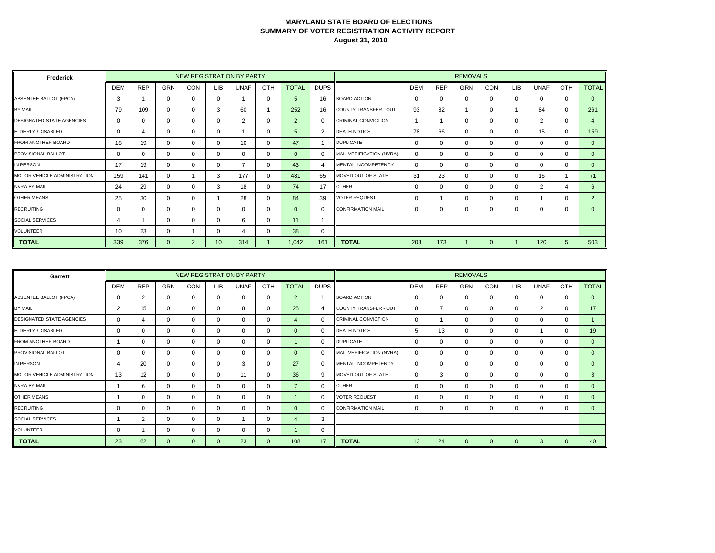| Frederick                        |            |            |            | NEW REGISTRATION BY PARTY |            |                |              |              |             |                            |            |            | <b>REMOVALS</b> |            |          |             |             |                |
|----------------------------------|------------|------------|------------|---------------------------|------------|----------------|--------------|--------------|-------------|----------------------------|------------|------------|-----------------|------------|----------|-------------|-------------|----------------|
|                                  | <b>DEM</b> | <b>REP</b> | <b>GRN</b> | CON                       | <b>LIB</b> | <b>UNAF</b>    | OTH          | <b>TOTAL</b> | <b>DUPS</b> |                            | <b>DEM</b> | <b>REP</b> | <b>GRN</b>      | <b>CON</b> | LIB      | <b>UNAF</b> | OTH         | <b>TOTAL</b>   |
| ABSENTEE BALLOT (FPCA)           | 3          |            | 0          | 0                         | $\Omega$   |                | 0            | 5            | 16          | <b>BOARD ACTION</b>        | $\Omega$   | 0          | $\Omega$        | 0          | $\Omega$ | 0           | $\mathbf 0$ | $\Omega$       |
| BY MAIL                          | 79         | 109        | $\Omega$   | $\Omega$                  | 3          | 60             |              | 252          | 16          | COUNTY TRANSFER - OUT      | 93         | 82         |                 | 0          |          | 84          | $\Omega$    | 261            |
| <b>DESIGNATED STATE AGENCIES</b> | 0          | $\Omega$   | 0          | $\mathbf 0$               | $\Omega$   | 2              | $\mathbf 0$  | 2            | 0           | <b>CRIMINAL CONVICTION</b> |            |            | 0               | 0          | $\Omega$ | 2           | $\mathbf 0$ |                |
| ELDERLY / DISABLED               | $\Omega$   | 4          | $\Omega$   | $\Omega$                  | $\Omega$   |                | $\Omega$     | 5            | 2           | <b>DEATH NOTICE</b>        | 78         | 66         | $\Omega$        | 0          | $\Omega$ | 15          | $\mathbf 0$ | 159            |
| <b>FROM ANOTHER BOARD</b>        | 18         | 19         | $\Omega$   | $\Omega$                  | $\Omega$   | 10             | 0            | 47           |             | <b>DUPLICATE</b>           | 0          | 0          | $\Omega$        | 0          | $\Omega$ | $\Omega$    | 0           | $\Omega$       |
| PROVISIONAL BALLOT               | 0          | $\Omega$   | $\Omega$   | 0                         | $\Omega$   | 0              | 0            | $\Omega$     | $\Omega$    | MAIL VERIFICATION (NVRA)   | $\Omega$   | 0          | $\Omega$        | 0          | $\Omega$ | 0           | $\mathbf 0$ | $\Omega$       |
| IN PERSON                        | 17         | 19         | $\Omega$   | $\Omega$                  | $\Omega$   | $\overline{ }$ | 0            | 43           | 4           | MENTAL INCOMPETENCY        | $\Omega$   | 0          | $\Omega$        | 0          | $\Omega$ | 0           | 0           | $\Omega$       |
| MOTOR VEHICLE ADMINISTRATION     | 159        | 141        | 0          |                           | 3          | 177            | $\mathbf{0}$ | 481          | 65          | MOVED OUT OF STATE         | 31         | 23         | 0               | 0          | $\Omega$ | 16          |             | 71             |
| <b>NVRA BY MAIL</b>              | 24         | 29         | 0          | 0                         | 3          | 18             | 0            | 74           | 17          | <b>OTHER</b>               | 0          | 0          | $\Omega$        | 0          | $\Omega$ | 2           | 4           | 6              |
| <b>OTHER MEANS</b>               | 25         | 30         | $\Omega$   | $\Omega$                  |            | 28             | $\mathbf 0$  | 84           | 39          | <b>VOTER REQUEST</b>       | $\Omega$   |            | $\Omega$        | 0          | $\Omega$ |             | $\mathbf 0$ | $\overline{2}$ |
| <b>RECRUITING</b>                | 0          | $\Omega$   | $\Omega$   | $\Omega$                  | $\Omega$   | 0              | 0            | $\Omega$     | 0           | <b>CONFIRMATION MAIL</b>   | $\Omega$   | 0          | $\Omega$        | 0          | $\Omega$ | 0           | 0           | $\Omega$       |
| SOCIAL SERVICES                  | 4          |            | $\Omega$   | $\Omega$                  | $\Omega$   | 6              | $\mathbf 0$  | 11           |             |                            |            |            |                 |            |          |             |             |                |
| <b>VOLUNTEER</b>                 | 10         | 23         | $\Omega$   |                           | $\Omega$   | 4              | 0            | 38           | 0           |                            |            |            |                 |            |          |             |             |                |
| <b>TOTAL</b>                     | 339        | 376        | $\Omega$   | -2                        | 10         | 314            |              | 1,042        | 161         | <b>TOTAL</b>               | 203        | 173        |                 | 0          |          | 120         | 5           | 503            |

| Garrett                          |            |                |            |            |          | NEW REGISTRATION BY PARTY |              |                |              |                            |            |                | <b>REMOVALS</b> |          |            |                |              |              |
|----------------------------------|------------|----------------|------------|------------|----------|---------------------------|--------------|----------------|--------------|----------------------------|------------|----------------|-----------------|----------|------------|----------------|--------------|--------------|
|                                  | <b>DEM</b> | <b>REP</b>     | <b>GRN</b> | <b>CON</b> | LIB      | <b>UNAF</b>               | OTH          | <b>TOTAL</b>   | <b>DUPS</b>  |                            | <b>DEM</b> | <b>REP</b>     | <b>GRN</b>      | CON      | <b>LIB</b> | <b>UNAF</b>    | OTH          | <b>TOTAL</b> |
| ABSENTEE BALLOT (FPCA)           | 0          | 2              | $\Omega$   | 0          | 0        | $\Omega$                  | 0            | $\overline{2}$ |              | <b>BOARD ACTION</b>        | $\Omega$   | 0              | $\mathbf 0$     | $\Omega$ | 0          | $\Omega$       | 0            | $\mathbf{0}$ |
| BY MAIL                          | 2          | 15             | 0          | 0          |          | 8                         | 0            | 25             | 4            | COUNTY TRANSFER - OUT      | 8          | $\overline{ }$ | $\mathbf{0}$    | $\Omega$ | 0          | $\overline{2}$ | 0            | 17           |
| <b>DESIGNATED STATE AGENCIES</b> | 0          | 4              | 0          | 0          |          | 0                         | 0            | $\overline{4}$ | $\mathbf{0}$ | <b>CRIMINAL CONVICTION</b> | 0          |                | $\mathbf 0$     | $\Omega$ | 0          | 0              | $\mathbf{0}$ |              |
| ELDERLY / DISABLED               | 0          | $\Omega$       | $\Omega$   | $\Omega$   |          | $\Omega$                  | 0            | $\Omega$       | $\Omega$     | <b>DEATH NOTICE</b>        | 5.         | 13             | $\Omega$        | $\Omega$ | $\Omega$   |                | $\Omega$     | 19           |
| <b>FROM ANOTHER BOARD</b>        |            | 0              | $\Omega$   | 0          |          | $\mathbf{0}$              | 0            |                | 0            | <b>DUPLICATE</b>           |            | 0              | $\mathbf 0$     | $\Omega$ | 0          | $\Omega$       | 0            | $\Omega$     |
| <b>PROVISIONAL BALLOT</b>        | 0          | $\mathbf 0$    | $\Omega$   | 0          |          | $\Omega$                  | 0            | $\Omega$       | $\mathbf{0}$ | MAIL VERIFICATION (NVRA)   | $\Omega$   | $\Omega$       | $\mathbf 0$     | $\Omega$ | 0          | $\Omega$       | $\mathbf{0}$ | $\mathbf{0}$ |
| IN PERSON                        | 4          | 20             | $\Omega$   | $\Omega$   |          | 3                         | $\mathbf 0$  | 27             | $\Omega$     | MENTAL INCOMPETENCY        | 0          | 0              | $\mathbf{0}$    | $\Omega$ | 0          | $\Omega$       | 0            | $\Omega$     |
| MOTOR VEHICLE ADMINISTRATION     | 13         | 12             | $\Omega$   | 0          | U        | 11                        | $\mathbf{0}$ | 36             | 9            | MOVED OUT OF STATE         |            | 3              | $\mathbf{0}$    | $\Omega$ | 0          | $\Omega$       | $\Omega$     | 3            |
| <b>NVRA BY MAIL</b>              |            | 6              | $\Omega$   | 0          | 0        | $\Omega$                  | $\mathbf 0$  | 7              | $\mathbf{0}$ | <b>OTHER</b>               | 0          | 0              | $\Omega$        | $\Omega$ | 0          | $\Omega$       | $\mathbf{0}$ | $\Omega$     |
| <b>OTHER MEANS</b>               |            | 0              | $\Omega$   | 0          |          | 0                         | 0            |                | $\Omega$     | <b>VOTER REQUEST</b>       | 0          | 0              | $\Omega$        | $\Omega$ | 0          | $\Omega$       | $\Omega$     | $\Omega$     |
| <b>RECRUITING</b>                | 0          | 0              | $\Omega$   | $\Omega$   |          | 0                         | 0            | $\Omega$       | $\Omega$     | <b>CONFIRMATION MAIL</b>   | 0          | 0              | $\mathbf{0}$    | $\Omega$ | $\Omega$   | $\Omega$       | $\Omega$     | $\Omega$     |
| SOCIAL SERVICES                  |            | $\overline{2}$ | $\Omega$   | 0          | 0        |                           | $\mathbf 0$  | 4              | 3            |                            |            |                |                 |          |            |                |              |              |
| <b>VOLUNTEER</b>                 | 0          |                | 0          | 0          |          | 0                         | $\mathbf 0$  |                | 0            |                            |            |                |                 |          |            |                |              |              |
| <b>TOTAL</b>                     | 23         | 62             | $\Omega$   | $\Omega$   | $\Omega$ | 23                        | $\mathbf{0}$ | 108            | 17           | <b>TOTAL</b>               | 13         | 24             | $\Omega$        | $\Omega$ | $\Omega$   | 3              | $\Omega$     | 40           |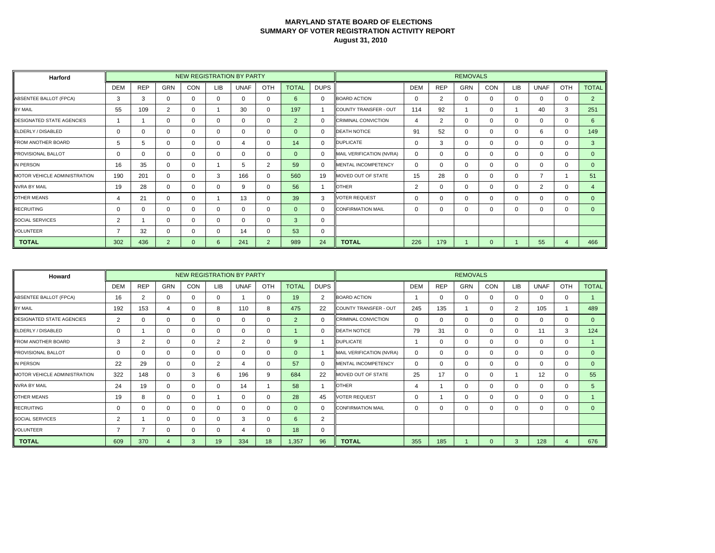| <b>Harford</b>                      |                |            |                |            |            | NEW REGISTRATION BY PARTY |                |                |             |                            |                |            | <b>REMOVALS</b> |            |            |                |          |                  |
|-------------------------------------|----------------|------------|----------------|------------|------------|---------------------------|----------------|----------------|-------------|----------------------------|----------------|------------|-----------------|------------|------------|----------------|----------|------------------|
|                                     | <b>DEM</b>     | <b>REP</b> | <b>GRN</b>     | <b>CON</b> | <b>LIB</b> | <b>UNAF</b>               | OTH            | <b>TOTAL</b>   | <b>DUPS</b> |                            | <b>DEM</b>     | <b>REP</b> | <b>GRN</b>      | <b>CON</b> | <b>LIB</b> | <b>UNAF</b>    | OTH      | <b>TOTAL</b>     |
| ABSENTEE BALLOT (FPCA)              | 3              | 3          | 0              |            | $\Omega$   | $\Omega$                  | $\mathbf{0}$   | 6              | $\Omega$    | <b>BOARD ACTION</b>        | $\Omega$       | 2          | 0               | $\Omega$   | $\Omega$   | $\Omega$       | $\Omega$ | $\overline{2}$   |
| BY MAIL                             | 55             | 109        | 2              |            |            | 30                        | 0              | 197            |             | COUNTY TRANSFER - OUT      | 114            | 92         |                 | $\Omega$   |            | 40             | 3        | 251              |
| <b>DESIGNATED STATE AGENCIES</b>    |                |            | 0              |            | 0          | $\Omega$                  | 0              | $\overline{2}$ | $\Omega$    | <b>CRIMINAL CONVICTION</b> | 4              | 2          | 0               | $\Omega$   | $\Omega$   | $\Omega$       | $\Omega$ | 6                |
| ELDERLY / DISABLED                  | 0              | $\Omega$   | 0              |            | 0          | $\Omega$                  | 0              | $\Omega$       | $\Omega$    | <b>DEATH NOTICE</b>        | 91             | 52         | 0               | $\Omega$   | $\Omega$   | 6              | 0        | 149              |
| <b>FROM ANOTHER BOARD</b>           | 5              | 5          | 0              |            | 0          | 4                         | $\Omega$       | 14             | $\Omega$    | <b>DUPLICATE</b>           | $\Omega$       | 3          | 0               | $\Omega$   | $\Omega$   | $\Omega$       | 0        | 3                |
| <b>PROVISIONAL BALLOT</b>           | 0              | 0          | 0              |            | 0          | $\Omega$                  | 0              | $\Omega$       | 0           | MAIL VERIFICATION (NVRA)   | $\Omega$       |            | 0               | $\Omega$   | $\Omega$   | $\Omega$       | $\Omega$ | $\Omega$         |
| IN PERSON                           | 16             | 35         | 0              |            |            | 5                         | 2              | 59             | $\Omega$    | <b>MENTAL INCOMPETENCY</b> | $\Omega$       | 0          | 0               | 0          | $\Omega$   | $\Omega$       | $\Omega$ | $\mathbf{0}$     |
| <b>MOTOR VEHICLE ADMINISTRATION</b> | 190            | 201        | 0              |            | 3          | 166                       | $\mathbf{0}$   | 560            | 19          | MOVED OUT OF STATE         | 15             | 28         | 0               | $\Omega$   | $\Omega$   | $\overline{7}$ |          | 51               |
| <b>NVRA BY MAIL</b>                 | 19             | 28         | 0              |            | 0          | 9                         | 0              | 56             |             | <b>OTHER</b>               | $\overline{2}$ |            | 0               | $\Omega$   | 0          | 2              | $\Omega$ | $\boldsymbol{4}$ |
| <b>OTHER MEANS</b>                  | 4              | 21         | 0              |            |            | 13                        | 0              | 39             | 3           | <b>VOTER REQUEST</b>       | $\Omega$       | 0          | 0               | $\Omega$   | $\Omega$   | $\Omega$       | $\Omega$ | $\Omega$         |
| <b>RECRUITING</b>                   | 0              | $\Omega$   | 0              |            | 0          | 0                         | 0              | $\Omega$       | $\Omega$    | <b>CONFIRMATION MAIL</b>   | 0              |            | 0               | 0          | 0          | $\Omega$       | 0        | $\mathbf{0}$     |
| <b>SOCIAL SERVICES</b>              | $\overline{2}$ |            | 0              |            | 0          | $\Omega$                  | 0              | 3              | 0           |                            |                |            |                 |            |            |                |          |                  |
| <b>VOLUNTEER</b>                    |                | 32         | 0              |            | 0          | 14                        | 0              | 53             | 0           |                            |                |            |                 |            |            |                |          |                  |
| <b>TOTAL</b>                        | 302            | 436        | $\overline{2}$ | 0          | 6          | 241                       | $\overline{2}$ | 989            | 24          | <b>TOTAL</b>               | 226            | 179        |                 | 0          |            | 55             | 4        | 466              |

| Howard                           |            |             |          |     |            | NEW REGISTRATION BY PARTY |             |                |             |                            |            |            | <b>REMOVALS</b> |          |                |             |              |                |
|----------------------------------|------------|-------------|----------|-----|------------|---------------------------|-------------|----------------|-------------|----------------------------|------------|------------|-----------------|----------|----------------|-------------|--------------|----------------|
|                                  | <b>DEM</b> | <b>REP</b>  | GRN      | CON | <b>LIB</b> | <b>UNAF</b>               | OTH         | <b>TOTAL</b>   | <b>DUPS</b> |                            | <b>DEM</b> | <b>REP</b> | <b>GRN</b>      | CON      | LIB            | <b>UNAF</b> | OTH          | <b>TOTAL</b>   |
| ABSENTEE BALLOT (FPCA)           | 16         | 2           | ∩        | 0   | $\Omega$   |                           | $\mathbf 0$ | 19             | 2           | <b>BOARD ACTION</b>        |            | 0          | 0               | $\Omega$ | 0              | 0           | 0            |                |
| BY MAIL                          | 192        | 153         | 4        | 0   | 8          | 110                       | 8           | 475            | 22          | COUNTY TRANSFER - OUT      | 245        | 135        |                 | $\Omega$ | $\overline{2}$ | 105         |              | 489            |
| <b>DESIGNATED STATE AGENCIES</b> | 2          | $\mathbf 0$ | ∩        | 0   |            | $\mathbf 0$               | $\mathbf 0$ | 2              | 0           | <b>CRIMINAL CONVICTION</b> | 0          | 0          | $\mathbf 0$     | $\Omega$ | 0              | 0           | $\mathbf{0}$ | $\overline{0}$ |
| ELDERLY / DISABLED               | 0          |             | ∩        | 0   |            | 0                         | $\mathbf 0$ |                | 0           | <b>DEATH NOTICE</b>        | 79         | 31         | $\mathbf{0}$    | $\Omega$ | 0              | 11          | 3            | 124            |
| FROM ANOTHER BOARD               | 3          | 2           | ∩        | 0   | 2          | 2                         | $\Omega$    | 9              |             | <b>DUPLICATE</b>           |            | 0          | 0               | $\Omega$ | 0              | $\Omega$    | 0            |                |
| <b>PROVISIONAL BALLOT</b>        | 0          | $\mathbf 0$ | ∩        | 0   |            | $\mathbf 0$               | $\mathbf 0$ | $\overline{0}$ |             | MAIL VERIFICATION (NVRA)   | 0          | $\Omega$   | $\mathbf 0$     | $\Omega$ | 0              | 0           | 0            | $\overline{0}$ |
| IN PERSON                        | 22         | 29          | $\Omega$ | 0   | 2          | 4                         | $\mathbf 0$ | 57             | 0           | <b>MENTAL INCOMPETENCY</b> | 0          | 0          | $\mathbf{0}$    | $\Omega$ | 0              | 0           | $\Omega$     | $\mathbf{0}$   |
| MOTOR VEHICLE ADMINISTRATION     | 322        | 148         | ∩        | 3   | 6          | 196                       | 9           | 684            | 22          | MOVED OUT OF STATE         | 25         | 17         | 0               | $\Omega$ |                | 12          | 0            | 55             |
| <b>NVRA BY MAIL</b>              | 24         | 19          | ∩        | 0   |            | 14                        |             | 58             |             | <b>OTHER</b>               |            |            | $\mathbf 0$     | $\Omega$ | $\Omega$       | 0           | 0            | 5              |
| <b>OTHER MEANS</b>               | 19         | 8           | ∩        | 0   |            | 0                         | $\mathbf 0$ | 28             | 45          | <b>VOTER REQUEST</b>       | O          |            | 0               | $\Omega$ | 0              | 0           | $\Omega$     |                |
| <b>RECRUITING</b>                | $\Omega$   | 0           | ∩        | 0   |            | 0                         | $\Omega$    | $\Omega$       | 0           | <b>CONFIRMATION MAIL</b>   |            | 0          | $\Omega$        | $\Omega$ | 0              | $\Omega$    | $\Omega$     | $\Omega$       |
| <b>SOCIAL SERVICES</b>           | 2          |             | ∩        | 0   |            | 3                         | $\mathbf 0$ | 6              | 2           |                            |            |            |                 |          |                |             |              |                |
| <b>VOLUNTEER</b>                 | 7          |             | ∩        | 0   |            | 4                         | $\mathbf 0$ | 18             | 0           |                            |            |            |                 |          |                |             |              |                |
| <b>TOTAL</b>                     | 609        | 370         | 4        | 3   | 19         | 334                       | 18          | 1,357          | 96          | <b>TOTAL</b>               | 355        | 185        |                 |          | 3              | 128         |              | 676            |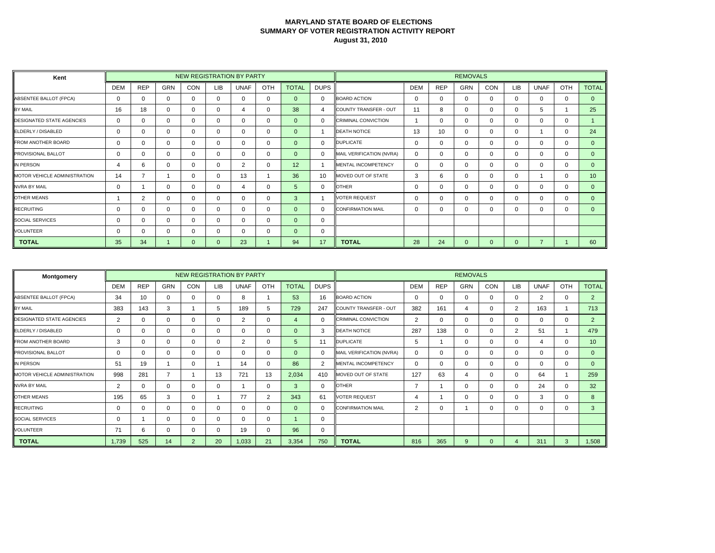| Kent                             |            |             |            |            |     | NEW REGISTRATION BY PARTY |              |              |             |                            |            |            | <b>REMOVALS</b> |             |             |             |          |                 |
|----------------------------------|------------|-------------|------------|------------|-----|---------------------------|--------------|--------------|-------------|----------------------------|------------|------------|-----------------|-------------|-------------|-------------|----------|-----------------|
|                                  | <b>DEM</b> | <b>REP</b>  | <b>GRN</b> | <b>CON</b> | LIB | UNAF                      | OTH          | <b>TOTAL</b> | <b>DUPS</b> |                            | <b>DEM</b> | <b>REP</b> | <b>GRN</b>      | <b>CON</b>  | <b>LIB</b>  | <b>UNAF</b> | OTH      | <b>TOTAL</b>    |
| ABSENTEE BALLOT (FPCA)           | 0          | $\mathbf 0$ | $\Omega$   | 0          | 0   | $\Omega$                  | $\mathbf 0$  | $\Omega$     | $\Omega$    | <b>BOARD ACTION</b>        | $\Omega$   | 0          | $\Omega$        | $\mathbf 0$ | $\mathbf 0$ | 0           | $\Omega$ | $\mathbf{0}$    |
| BY MAIL                          | 16         | 18          | $\Omega$   | 0          |     | 4                         | $\mathbf 0$  | 38           | 4           | COUNTY TRANSFER - OUT      | 11         | 8          | $\Omega$        | $\Omega$    | $\Omega$    | 5           |          | 25              |
| <b>DESIGNATED STATE AGENCIES</b> | 0          | 0           | 0          | 0          | 0   | 0                         | $\mathbf 0$  | $\Omega$     | $\Omega$    | <b>CRIMINAL CONVICTION</b> |            | 0          | 0               | 0           | $\mathbf 0$ | $\mathbf 0$ | 0        |                 |
| ELDERLY / DISABLED               | $\Omega$   | $\mathbf 0$ | $\Omega$   | 0          | O   | 0                         | $\mathbf 0$  | $\Omega$     |             | <b>DEATH NOTICE</b>        | 13         | 10         | $\Omega$        | $\Omega$    | $\mathbf 0$ |             | $\Omega$ | 24              |
| <b>FROM ANOTHER BOARD</b>        | $\Omega$   | 0           | $\Omega$   | 0          |     | 0                         | $\mathbf 0$  | $\Omega$     | 0           | <b>DUPLICATE</b>           | $\Omega$   | 0          | $\Omega$        | $\Omega$    | 0           | $\Omega$    | $\Omega$ | $\Omega$        |
| PROVISIONAL BALLOT               | 0          | $\mathbf 0$ | $\Omega$   | 0          |     | 0                         | $\mathbf 0$  | $\Omega$     | 0           | MAIL VERIFICATION (NVRA)   | $\Omega$   | 0          | $\Omega$        | 0           | $\mathbf 0$ | $\Omega$    | $\Omega$ | $\mathbf{0}$    |
| IN PERSON                        | 4          | 6           | $\Omega$   | 0          |     | 2                         | $\mathbf 0$  | 12           |             | <b>MENTAL INCOMPETENCY</b> | $\Omega$   | $\Omega$   | $\Omega$        | 0           | $\Omega$    | $\Omega$    | $\Omega$ | $\Omega$        |
| MOTOR VEHICLE ADMINISTRATION     | 14         |             |            | 0          |     | 13                        |              | 36           | 10          | MOVED OUT OF STATE         | 3          | 6          | 0               | 0           | 0           |             | 0        | 10 <sup>°</sup> |
| <b>NVRA BY MAIL</b>              | 0          |             | $\Omega$   | 0          |     | 4                         | $\mathbf 0$  | 5            | 0           | <b>OTHER</b>               | $\Omega$   | 0          | $\Omega$        | $\mathbf 0$ | $\mathbf 0$ | 0           | 0        | $\mathbf{0}$    |
| <b>OTHER MEANS</b>               |            | 2           | $\Omega$   | 0          |     | 0                         | $\mathbf 0$  | 3            |             | <b>VOTER REQUEST</b>       | $\Omega$   | $\Omega$   | $\Omega$        | $\Omega$    | $\Omega$    | $\Omega$    | $\Omega$ | $\Omega$        |
| <b>RECRUITING</b>                | 0          | 0           | $\Omega$   | 0          | U   | 0                         | $\mathbf 0$  | $\Omega$     | $\Omega$    | <b>CONFIRMATION MAIL</b>   | $\Omega$   | 0          | $\Omega$        | 0           | 0           | $\Omega$    | 0        | $\Omega$        |
| <b>SOCIAL SERVICES</b>           | 0          | $\mathbf 0$ | $\Omega$   | 0          |     | 0                         | $\mathbf 0$  | $\Omega$     | 0           |                            |            |            |                 |             |             |             |          |                 |
| <b>VOLUNTEER</b>                 | 0          | 0           | $\Omega$   | 0          | 0   | 0                         | $\mathbf{0}$ | $\Omega$     | 0           |                            |            |            |                 |             |             |             |          |                 |
| <b>TOTAL</b>                     | 35         | 34          |            |            | n.  | 23                        |              | 94           | 17          | <b>TOTAL</b>               | 28         | 24         | $\Omega$        | $\Omega$    | $\Omega$    | ⇁           |          | 60              |

| Montgomery                       |            |             |            |                |     | NEW REGISTRATION BY PARTY |              |                |              |                            |            |            | <b>REMOVALS</b> |            |                |                |              |                 |
|----------------------------------|------------|-------------|------------|----------------|-----|---------------------------|--------------|----------------|--------------|----------------------------|------------|------------|-----------------|------------|----------------|----------------|--------------|-----------------|
|                                  | <b>DEM</b> | <b>REP</b>  | <b>GRN</b> | <b>CON</b>     | LIB | <b>UNAF</b>               | OTH          | <b>TOTAL</b>   | <b>DUPS</b>  |                            | <b>DEM</b> | <b>REP</b> | <b>GRN</b>      | <b>CON</b> | LIB            | <b>UNAF</b>    | OTH          | <b>TOTAL</b>    |
| ABSENTEE BALLOT (FPCA)           | 34         | 10          | $\Omega$   | 0              |     | 8                         |              | 53             | 16           | <b>BOARD ACTION</b>        | 0          | 0          | $\mathbf 0$     | $\Omega$   | 0              | $\overline{2}$ | $\Omega$     | $\overline{2}$  |
| BY MAIL                          | 383        | 143         | 3          |                | 5   | 189                       | 5            | 729            | 247          | COUNTY TRANSFER - OUT      | 382        | 161        | 4               | $\Omega$   | $\overline{2}$ | 163            |              | 713             |
| <b>DESIGNATED STATE AGENCIES</b> | 2          | $\mathbf 0$ | 0          | 0              |     | 2                         | $\mathbf 0$  | $\overline{4}$ | $\mathbf{0}$ | <b>CRIMINAL CONVICTION</b> | 2          | 0          | $\mathbf 0$     | $\Omega$   | 0              | 0              | $\mathbf{0}$ | $\overline{2}$  |
| ELDERLY / DISABLED               | 0          | $\Omega$    | $\Omega$   | 0              |     | $\Omega$                  | 0            | $\Omega$       | 3            | <b>DEATH NOTICE</b>        | 287        | 138        | $\Omega$        | $\Omega$   | $\overline{2}$ | 51             |              | 479             |
| <b>FROM ANOTHER BOARD</b>        | 3          | $\mathbf 0$ | $\Omega$   | 0              |     | 2                         | 0            | $\overline{5}$ | 11           | <b>DUPLICATE</b>           | 5          |            | $\mathbf{0}$    | $\Omega$   | 0              |                | $\Omega$     | 10 <sup>°</sup> |
| <b>PROVISIONAL BALLOT</b>        | 0          | $\mathbf 0$ | $\Omega$   | 0              |     | $\Omega$                  | $\mathbf 0$  | $\Omega$       | $\mathbf{0}$ | MAIL VERIFICATION (NVRA)   | $\Omega$   | 0          | $\mathbf 0$     | $\Omega$   | 0              | $\Omega$       | $\mathbf{0}$ | $\mathbf{0}$    |
| IN PERSON                        | 51         | 19          |            | 0              |     | 14                        | $\mathbf 0$  | 86             | 2            | MENTAL INCOMPETENCY        | 0          | 0          | $\mathbf{0}$    | $\Omega$   | 0              | $\Omega$       | $\Omega$     | $\mathbf{0}$    |
| MOTOR VEHICLE ADMINISTRATION     | 998        | 281         |            |                | 13  | 721                       | 13           | 2,034          | 410          | MOVED OUT OF STATE         | 127        | 63         | 4               | $\Omega$   | 0              | 64             |              | 259             |
| <b>NVRA BY MAIL</b>              | 2          | 0           | $\Omega$   | 0              |     |                           | $\mathbf{0}$ | 3              | $\mathbf{0}$ | <b>OTHER</b>               |            |            | $\Omega$        | $\Omega$   | ∩              | 24             | $\Omega$     | 32              |
| <b>OTHER MEANS</b>               | 195        | 65          | 3          | 0              |     | 77                        | 2            | 343            | 61           | <b>VOTER REQUEST</b>       |            |            | $\Omega$        | $\Omega$   | 0              | 3              | $\Omega$     | 8               |
| <b>RECRUITING</b>                | 0          | 0           | $\Omega$   | 0              |     | 0                         | 0            | $\Omega$       | $\Omega$     | <b>CONFIRMATION MAIL</b>   | 2          | 0          |                 | $\Omega$   | O              | $\Omega$       | $\Omega$     | 3               |
| SOCIAL SERVICES                  | 0          |             | $\Omega$   | $\Omega$       |     | $\Omega$                  | $\mathbf 0$  |                | 0            |                            |            |            |                 |            |                |                |              |                 |
| <b>VOLUNTEER</b>                 | 71         | 6           | 0          | 0              |     | 19                        | $\mathbf 0$  | 96             | 0            |                            |            |            |                 |            |                |                |              |                 |
| <b>TOTAL</b>                     | 1.739      | 525         | 14         | $\overline{2}$ | 20  | 0.033                     | 21           | 3,354          | 750          | <b>TOTAL</b>               | 816        | 365        | 9               | $\Omega$   | Δ              | 311            | 3            | 1,508           |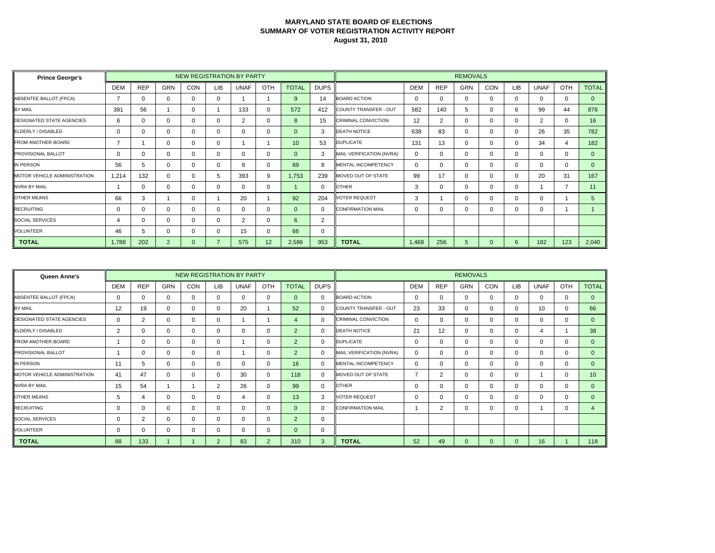| <b>Prince George's</b>              |            |            |                |            |            | NEW REGISTRATION BY PARTY |     |              |                |                            |                   |            | <b>REMOVALS</b> |            |          |             |          |              |
|-------------------------------------|------------|------------|----------------|------------|------------|---------------------------|-----|--------------|----------------|----------------------------|-------------------|------------|-----------------|------------|----------|-------------|----------|--------------|
|                                     | <b>DEM</b> | <b>REP</b> | <b>GRN</b>     | <b>CON</b> | <b>LIB</b> | <b>UNAF</b>               | OTH | <b>TOTAL</b> | <b>DUPS</b>    |                            | <b>DEM</b>        | <b>REP</b> | <b>GRN</b>      | <b>CON</b> | LIB      | <b>UNAF</b> | OTH      | <b>TOTAL</b> |
| ABSENTEE BALLOT (FPCA)              | 7          | $\Omega$   | 0              |            | 0          |                           |     | 9            | 14             | <b>BOARD ACTION</b>        | $\Omega$          | 0          | 0               | $\Omega$   | $\Omega$ | $\Omega$    | $\Omega$ | $\Omega$     |
| <b>BY MAIL</b>                      | 381        | 56         |                |            |            | 133                       | 0   | 572          | 412            | COUNTY TRANSFER - OUT      | 582               | 140        | 5               | $\Omega$   | 6        | 99          | 44       | 876          |
| <b>DESIGNATED STATE AGENCIES</b>    | 6          | $\Omega$   | 0              |            | 0          | 2                         | 0   | 8            | 15             | <b>CRIMINAL CONVICTION</b> | $12 \overline{ }$ | 2          | 0               | $\Omega$   | 0        | 2           | $\Omega$ | 16           |
| ELDERLY / DISABLED                  | 0          | $\Omega$   | 0              |            | 0          | $\Omega$                  | 0   | $\Omega$     | 3              | <b>DEATH NOTICE</b>        | 638               | 83         | 0               | $\Omega$   | 0        | 26          | 35       | 782          |
| <b>FROM ANOTHER BOARD</b>           | 7          |            | 0              |            | 0          |                           |     | 10           | 53             | <b>DUPLICATE</b>           | 131               | 13         | 0               | $\Omega$   | $\Omega$ | 34          | 4        | 182          |
| <b>PROVISIONAL BALLOT</b>           | 0          | 0          | 0              |            | 0          | $\Omega$                  | 0   | $\Omega$     | 3              | MAIL VERIFICATION (NVRA)   | 0                 |            | 0               | $\Omega$   | 0        | $\Omega$    | $\Omega$ | $\Omega$     |
| IN PERSON                           | 56         | 5          | 0              |            | 0          | 8                         | 0   | 69           | 8              | <b>MENTAL INCOMPETENCY</b> | $\Omega$          |            | 0               | $\Omega$   | $\Omega$ | $\Omega$    | $\Omega$ | $\mathbf{0}$ |
| <b>MOTOR VEHICLE ADMINISTRATION</b> | 1.214      | 132        | 0              |            | 5          | 393                       | 9   | 1,753        | 239            | MOVED OUT OF STATE         | 99                | 17         | 0               | $\Omega$   | $\Omega$ | 20          | 31       | 167          |
| <b>NVRA BY MAIL</b>                 |            | $\Omega$   | 0              |            | 0          | $\Omega$                  | 0   |              | $\Omega$       | <b>OTHER</b>               | 3                 |            | 0               | $\Omega$   | 0        |             | -        | 11           |
| <b>OTHER MEANS</b>                  | 66         | 3          |                |            |            | 20                        |     | 92           | 204            | <b>VOTER REQUEST</b>       | 3                 |            | 0               | $\Omega$   | $\Omega$ | $\Omega$    |          | 5            |
| <b>RECRUITING</b>                   | 0          | $\Omega$   | 0              |            | 0          | $\Omega$                  | 0   | $\Omega$     | $\Omega$       | <b>CONFIRMATION MAIL</b>   | 0                 |            | 0               | $\Omega$   | 0        | $\Omega$    |          |              |
| <b>SOCIAL SERVICES</b>              | 4          | $\Omega$   | 0              |            | 0          | 2                         | 0   | 6            | $\overline{2}$ |                            |                   |            |                 |            |          |             |          |              |
| <b>VOLUNTEER</b>                    | 46         | 5          | 0              |            | 0          | 15                        | 0   | 66           | 0              |                            |                   |            |                 |            |          |             |          |              |
| <b>TOTAL</b>                        | 1,788      | 202        | $\overline{2}$ | 0          |            | 575                       | 12  | 2,586        | 953            | <b>TOTAL</b>               | 1,468             | 256        | 5               | $\Omega$   | 6        | 182         | 123      | 2,040        |

| Queen Anne's                     |            |            |          | NEW REGISTRATION BY PARTY |            |             |             |                |             |                            |            |                 | <b>REMOVALS</b> |          |     |             |              |                 |
|----------------------------------|------------|------------|----------|---------------------------|------------|-------------|-------------|----------------|-------------|----------------------------|------------|-----------------|-----------------|----------|-----|-------------|--------------|-----------------|
|                                  | <b>DEM</b> | <b>REP</b> | GRN      | CON                       | <b>LIB</b> | <b>UNAF</b> | OTH         | <b>TOTAL</b>   | <b>DUPS</b> |                            | <b>DEM</b> | <b>REP</b>      | <b>GRN</b>      | CON      | LIB | <b>UNAF</b> | OTH          | <b>TOTAL</b>    |
| ABSENTEE BALLOT (FPCA)           | 0          | 0          | ∩        | 0                         | $\Omega$   | 0           | $\mathbf 0$ | $\mathbf{0}$   | $\mathbf 0$ | <b>BOARD ACTION</b>        | 0          | 0               | $\mathbf{0}$    | $\Omega$ | 0   | 0           | 0            | $\mathbf{0}$    |
| BY MAIL                          | 12         | 19         | $\Omega$ | 0                         | $\Omega$   | 20          |             | 52             | 0           | COUNTY TRANSFER - OUT      | 23         | 33              | 0               | $\Omega$ | 0   | 10          | 0            | 66              |
| <b>DESIGNATED STATE AGENCIES</b> | 0          | 2          | ∩        | 0                         |            |             |             | $\overline{4}$ | 0           | <b>CRIMINAL CONVICTION</b> | 0          | $\Omega$        | $\mathbf 0$     | $\Omega$ | 0   | 0           | $\mathbf{0}$ | $\overline{0}$  |
| ELDERLY / DISABLED               | 2          | 0          | ∩        | 0                         |            | 0           | $\mathbf 0$ | $\overline{2}$ | 0           | <b>DEATH NOTICE</b>        | 21         | 12 <sup>2</sup> | $\mathbf{0}$    | $\Omega$ | 0   | Δ           |              | 38              |
| FROM ANOTHER BOARD               |            | $\Omega$   | ∩        | 0                         |            |             | 0           | 2              | $\Omega$    | <b>DUPLICATE</b>           |            | 0               | 0               | $\Omega$ | 0   | $\Omega$    | 0            | $\Omega$        |
| <b>PROVISIONAL BALLOT</b>        |            | 0          | ∩        | 0                         |            |             | $\mathbf 0$ | 2              | 0           | MAIL VERIFICATION (NVRA)   | 0          | $\Omega$        | $\mathbf 0$     | $\Omega$ | 0   | 0           | 0            | $\overline{0}$  |
| IN PERSON                        | 11         | 5          | ∩        | 0                         |            | 0           | $\mathbf 0$ | 16             | 0           | <b>MENTAL INCOMPETENCY</b> | 0          | $\Omega$        | $\mathbf{0}$    | $\Omega$ | 0   | 0           | $\Omega$     | $\mathbf{0}$    |
| MOTOR VEHICLE ADMINISTRATION     | 41         | 47         | ∩        | 0                         |            | 30          | 0           | 118            | 0           | MOVED OUT OF STATE         |            | 2               | 0               | $\Omega$ | 0   |             | $\Omega$     | 10 <sup>°</sup> |
| <b>NVRA BY MAIL</b>              | 15         | 54         |          |                           | 2          | 26          | $\mathbf 0$ | 99             | $\mathbf 0$ | <b>OTHER</b>               |            | 0               | $\mathbf 0$     | $\Omega$ | 0   | 0           | $\mathbf{0}$ | $\overline{0}$  |
| <b>OTHER MEANS</b>               | 5          | 4          | ∩        | 0                         |            | 4           | $\mathbf 0$ | 13             | 3           | <b>VOTER REQUEST</b>       | O          | 0               | $\mathbf{0}$    | $\Omega$ | 0   | 0           | $\Omega$     | $\Omega$        |
| <b>RECRUITING</b>                | $\Omega$   | 0          | ∩        | 0                         |            | 0           | $\Omega$    | $\Omega$       | 0           | <b>CONFIRMATION MAIL</b>   |            | 2               | 0               | $\Omega$ | 0   |             | $\Omega$     |                 |
| <b>SOCIAL SERVICES</b>           | 0          | 2          | ∩        | 0                         |            | $\mathbf 0$ | $\mathbf 0$ | 2              | $\mathbf 0$ |                            |            |                 |                 |          |     |             |              |                 |
| <b>VOLUNTEER</b>                 | 0          | 0          | ∩        | 0                         |            | 0           | $\mathbf 0$ | $\Omega$       | 0           |                            |            |                 |                 |          |     |             |              |                 |
| <b>TOTAL</b>                     | 88         | 133        |          |                           | 2          | 83          | 2           | 310            | 3           | <b>TOTAL</b>               | 52         | 49              | $\Omega$        |          | 0   | 16          |              | 118             |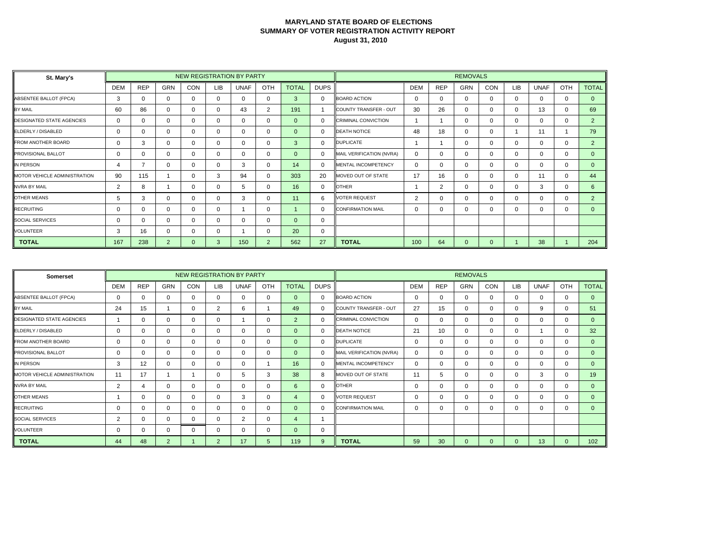| St. Mary's                       |            |            |                |     |     | <b>NEW REGISTRATION BY PARTY</b> |                |                |             |                            |                |            | <b>REMOVALS</b> |              |            |             |          |                |
|----------------------------------|------------|------------|----------------|-----|-----|----------------------------------|----------------|----------------|-------------|----------------------------|----------------|------------|-----------------|--------------|------------|-------------|----------|----------------|
|                                  | <b>DEM</b> | <b>REP</b> | <b>GRN</b>     | CON | LIB | <b>UNAF</b>                      | OTH            | <b>TOTAL</b>   | <b>DUPS</b> |                            | <b>DEM</b>     | <b>REP</b> | <b>GRN</b>      | CON          | <b>LIB</b> | <b>UNAF</b> | OTH      | <b>TOTAL</b>   |
| ABSENTEE BALLOT (FPCA)           | 3          | $\Omega$   | $\Omega$       |     | 0   | $\Omega$                         | $\mathbf 0$    | 3              | $\Omega$    | <b>BOARD ACTION</b>        | $\Omega$       | $\Omega$   | 0               | $\Omega$     | $\Omega$   | $\Omega$    | $\Omega$ | $\Omega$       |
| BY MAIL                          | 60         | 86         | 0              |     | 0   | 43                               | 2              | 191            |             | COUNTY TRANSFER - OUT      | 30             | 26         | 0               | $\Omega$     | $\Omega$   | 13          | $\Omega$ | 69             |
| <b>DESIGNATED STATE AGENCIES</b> | 0          | $\Omega$   | 0              |     | 0   | 0                                | 0              | $\overline{0}$ | $\Omega$    | <b>CRIMINAL CONVICTION</b> |                |            |                 | $\Omega$     | $\Omega$   | $\Omega$    | 0        | 2              |
| ELDERLY / DISABLED               | 0          | $\Omega$   | 0              |     | 0   | 0                                | 0              | $\Omega$       | $\Omega$    | <b>DEATH NOTICE</b>        | 48             | 18         | 0               | $\Omega$     |            | 11          |          | 79             |
| <b>FROM ANOTHER BOARD</b>        | 0          | 3          | 0              |     | 0   | 0                                | 0              | 3              | $\Omega$    | <b>DUPLICATE</b>           |                |            | 0               | $\Omega$     | $\Omega$   | $\Omega$    | $\Omega$ | $\overline{2}$ |
| <b>PROVISIONAL BALLOT</b>        | 0          | $\Omega$   | 0              |     | 0   | $\Omega$                         | 0              | $\Omega$       | $\Omega$    | MAIL VERIFICATION (NVRA)   | $\Omega$       | 0          | 0               | $\Omega$     | $\Omega$   | $\Omega$    | $\Omega$ | $\Omega$       |
| IN PERSON                        | 4          |            | 0              |     | 0   | 3                                | 0              | 14             | $\Omega$    | <b>MENTAL INCOMPETENCY</b> | $\Omega$       | 0          | 0               | $\Omega$     | $\Omega$   | $\Omega$    | $\Omega$ | $\Omega$       |
| MOTOR VEHICLE ADMINISTRATION     | 90         | 115        |                |     | 3   | 94                               | $\mathbf 0$    | 303            | 20          | MOVED OUT OF STATE         | 17             | 16         | $\Omega$        | $\Omega$     | $\Omega$   | 11          | $\Omega$ | 44             |
| <b>NVRA BY MAIL</b>              | 2          | 8          |                |     | 0   | 5                                | 0              | 16             | $\Omega$    | <b>OTHER</b>               |                | 2          | 0               | $\Omega$     | 0          | 3           | $\Omega$ | 6              |
| <b>OTHER MEANS</b>               | 5          | 3          | 0              |     | 0   | 3                                | 0              | 11             | 6           | <b>VOTER REQUEST</b>       | $\overline{2}$ | 0          | 0               | $\Omega$     | $\Omega$   | $\Omega$    | 0        | $\overline{2}$ |
| <b>RECRUITING</b>                | 0          | $\Omega$   | 0              |     | 0   |                                  | 0              |                | $\Omega$    | <b>CONFIRMATION MAIL</b>   | $\Omega$       | 0          | 0               | $\Omega$     | 0          | $\Omega$    | 0        | $\Omega$       |
| <b>SOCIAL SERVICES</b>           | 0          | $\Omega$   | 0              |     | 0   | 0                                | $\Omega$       | $\Omega$       | $\Omega$    |                            |                |            |                 |              |            |             |          |                |
| <b>VOLUNTEER</b>                 | 3          | 16         | 0              |     | 0   |                                  | 0              | 20             | 0           |                            |                |            |                 |              |            |             |          |                |
| <b>TOTAL</b>                     | 167        | 238        | $\overline{2}$ | 0   | 3   | 150                              | $\overline{2}$ | 562            | 27          | <b>TOTAL</b>               | 100            | 64         | 0               | $\mathbf{0}$ |            | 38          |          | 204            |

| Somerset                         |            |             |                |            |             | NEW REGISTRATION BY PARTY |              |                |              |                            |            |            | <b>REMOVALS</b> |          |            |             |              |                 |
|----------------------------------|------------|-------------|----------------|------------|-------------|---------------------------|--------------|----------------|--------------|----------------------------|------------|------------|-----------------|----------|------------|-------------|--------------|-----------------|
|                                  | <b>DEM</b> | <b>REP</b>  | <b>GRN</b>     | <b>CON</b> | LIB         | <b>UNAF</b>               | OTH          | <b>TOTAL</b>   | <b>DUPS</b>  |                            | <b>DEM</b> | <b>REP</b> | <b>GRN</b>      | CON      | <b>LIB</b> | <b>UNAF</b> | OTH          | <b>TOTAL</b>    |
| ABSENTEE BALLOT (FPCA)           | 0          | 0           | $\Omega$       | 0          | 0           | $\Omega$                  | $\mathbf 0$  | $\Omega$       | 0            | <b>BOARD ACTION</b>        | 0          | 0          | $\mathbf 0$     | $\Omega$ | 0          | $\Omega$    | 0            | $\mathbf{0}$    |
| BY MAIL                          | 24         | 15          |                | 0          | 2           | 6                         |              | 49             | 0            | COUNTY TRANSFER - OUT      | 27         | 15         | $\mathbf{0}$    | $\Omega$ | 0          | 9           | 0            | 51              |
| <b>DESIGNATED STATE AGENCIES</b> |            | $\mathbf 0$ | 0              | 0          | 0           |                           | $\mathbf 0$  | $\overline{2}$ | $\mathbf{0}$ | <b>CRIMINAL CONVICTION</b> | 0          | 0          | $\mathbf 0$     | $\Omega$ | 0          | 0           | $\mathbf{0}$ | $\mathbf{0}$    |
| ELDERLY / DISABLED               | 0          | $\Omega$    | $\Omega$       | 0          |             | $\Omega$                  | 0            | $\Omega$       | $\Omega$     | <b>DEATH NOTICE</b>        | 21         | 10         | $\Omega$        | $\Omega$ | $\Omega$   |             | $\Omega$     | 32 <sup>2</sup> |
| <b>FROM ANOTHER BOARD</b>        | 0          | $\mathbf 0$ | $\Omega$       | 0          |             | 0                         | $\mathbf 0$  | $\Omega$       | $\Omega$     | <b>DUPLICATE</b>           |            | 0          | $\mathbf 0$     | $\Omega$ | 0          | $\Omega$    | 0            | $\Omega$        |
| <b>PROVISIONAL BALLOT</b>        | 0          | $\mathbf 0$ | $\Omega$       | 0          |             | $\Omega$                  | $\mathbf 0$  | $\Omega$       | $\mathbf{0}$ | MAIL VERIFICATION (NVRA)   | $\Omega$   | 0          | $\mathbf 0$     | $\Omega$ | 0          | $\Omega$    | $\mathbf{0}$ | $\mathbf{0}$    |
| IN PERSON                        | 3          | 12          | $\Omega$       | $\Omega$   |             | 0                         |              | 16             | $\Omega$     | MENTAL INCOMPETENCY        | 0          | 0          | $\mathbf{0}$    | $\Omega$ | 0          | $\Omega$    | 0            | $\mathbf{0}$    |
| MOTOR VEHICLE ADMINISTRATION     | 11         | 17          |                |            |             | 5                         | 3            | 38             | 8            | MOVED OUT OF STATE         | 11         | 5          | $\mathbf{0}$    | $\Omega$ | 0          | 3           | $\Omega$     | 19              |
| <b>NVRA BY MAIL</b>              | 2          | 4           | $\Omega$       | 0          | 0           | $\Omega$                  | $\mathbf 0$  | 6              | $\mathbf{0}$ | <b>OTHER</b>               | 0          | 0          | $\Omega$        | $\Omega$ | 0          | $\Omega$    | $\mathbf{0}$ | $\Omega$        |
| <b>OTHER MEANS</b>               |            | 0           | $\Omega$       | 0          |             | 3                         | 0            | 4              | $\Omega$     | <b>VOTER REQUEST</b>       | 0          | 0          | $\Omega$        | $\Omega$ | 0          | $\Omega$    | $\Omega$     | $\Omega$        |
| <b>RECRUITING</b>                | 0          | 0           | $\Omega$       | $\Omega$   |             | $\mathbf{0}$              | $\mathbf{0}$ | $\Omega$       | $\Omega$     | <b>CONFIRMATION MAIL</b>   | 0          | 0          | $\mathbf{0}$    | $\Omega$ | $\Omega$   | $\Omega$    | $\Omega$     | $\Omega$        |
| SOCIAL SERVICES                  | 2          | 0           | $\Omega$       | $\Omega$   | 0           | 2                         | $\mathbf 0$  | 4              |              |                            |            |            |                 |          |            |             |              |                 |
| <b>VOLUNTEER</b>                 | 0          | $\mathbf 0$ | 0              | 0          |             | 0                         | $\mathbf 0$  | $\mathbf{0}$   | 0            |                            |            |            |                 |          |            |             |              |                 |
| <b>TOTAL</b>                     | 44         | 48          | $\overline{2}$ |            | $2^{\circ}$ | 17                        | 5            | 119            | 9            | <b>TOTAL</b>               | 59         | 30         | $\Omega$        | $\Omega$ | $\Omega$   | 13          | $\Omega$     | 102             |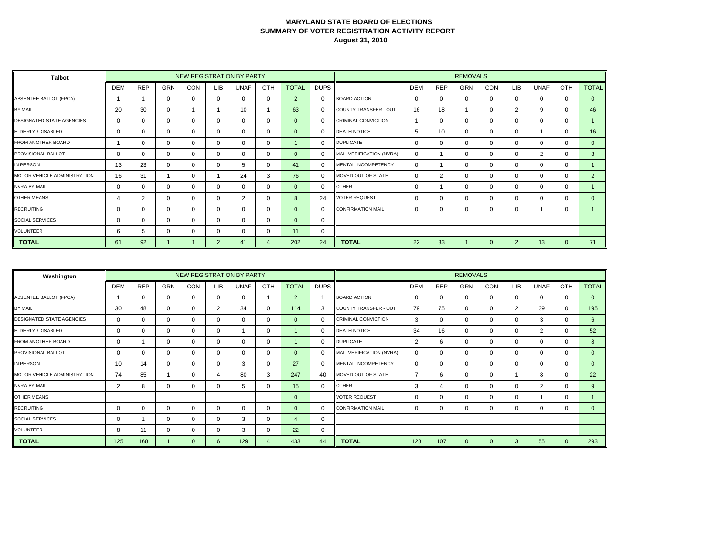| <b>Talbot</b>                    |             |            |            | <b>NEW REGISTRATION BY PARTY</b> |                |              |             |                |              |                            |            |                | <b>REMOVALS</b> |              |                |             |              |                |
|----------------------------------|-------------|------------|------------|----------------------------------|----------------|--------------|-------------|----------------|--------------|----------------------------|------------|----------------|-----------------|--------------|----------------|-------------|--------------|----------------|
|                                  | <b>DEM</b>  | <b>REP</b> | <b>GRN</b> | CON                              | LIB.           | <b>UNAF</b>  | OTH         | <b>TOTAL</b>   | <b>DUPS</b>  |                            | <b>DEM</b> | <b>REP</b>     | <b>GRN</b>      | CON          | <b>LIB</b>     | <b>UNAF</b> | <b>OTH</b>   | <b>TOTAL</b>   |
| ABSENTEE BALLOT (FPCA)           |             |            | 0          | 0                                | $\Omega$       | $\Omega$     | $\mathbf 0$ | 2              | $\mathbf 0$  | <b>BOARD ACTION</b>        | $\Omega$   | 0              | 0               | $\Omega$     | $\Omega$       | $\Omega$    | $\Omega$     | $\Omega$       |
| <b>BY MAIL</b>                   | 20          | 30         | 0          |                                  |                | 10           |             | 63             | $\Omega$     | COUNTY TRANSFER - OUT      | 16         | 18             |                 | $\Omega$     | 2              | 9           | $\Omega$     | 46             |
| <b>DESIGNATED STATE AGENCIES</b> | $\mathbf 0$ | $\Omega$   | $\Omega$   | 0                                | $\mathbf 0$    | $\mathbf 0$  | $\mathbf 0$ | $\overline{0}$ | $\mathbf 0$  | <b>CRIMINAL CONVICTION</b> |            | $\Omega$       | 0               | 0            | $\Omega$       | $\Omega$    | 0            |                |
| ELDERLY / DISABLED               | $\mathbf 0$ | 0          | 0          | 0                                | $\mathbf{0}$   | $\mathbf{0}$ | 0           | $\Omega$       | $\Omega$     | <b>DEATH NOTICE</b>        | 5          | 10             | 0               | $\mathbf{0}$ | 0              |             | 0            | 16             |
| <b>FROM ANOTHER BOARD</b>        |             | $\Omega$   | 0          | 0                                | 0              | $\Omega$     | $\Omega$    |                | $\mathbf{0}$ | <b>DUPLICATE</b>           | 0          | O              | 0               | $\mathbf{0}$ | $\Omega$       | $\Omega$    | $\Omega$     | $\mathbf{0}$   |
| <b>PROVISIONAL BALLOT</b>        | $\mathbf 0$ | $\Omega$   | 0          | 0                                | $\mathbf{0}$   | $\Omega$     | 0           | $\Omega$       | $\Omega$     | MAIL VERIFICATION (NVRA)   | 0          |                | 0               | $\Omega$     | 0              | 2           | 0            | 3              |
| IN PERSON                        | 13          | 23         | 0          | 0                                | 0              | 5            | $\Omega$    | 41             | $\Omega$     | MENTAL INCOMPETENCY        | $\Omega$   |                | 0               | $\Omega$     | $\Omega$       | $\Omega$    | $\Omega$     |                |
| MOTOR VEHICLE ADMINISTRATION     | 16          | 31         |            | 0                                |                | 24           | 3           | 76             | $\Omega$     | MOVED OUT OF STATE         | 0          | $\overline{2}$ | 0               | $\mathbf 0$  | $\mathbf{0}$   | 0           | 0            | 2 <sup>2</sup> |
| <b>NVRA BY MAIL</b>              | 0           | $\Omega$   | 0          | 0                                | $\mathbf{0}$   | $\mathbf{0}$ | 0           | $\Omega$       | $\mathbf 0$  | <b>OTHER</b>               | 0          |                | 0               | 0            | $\Omega$       | 0           | 0            |                |
| <b>OTHER MEANS</b>               | 4           | 2          | $\Omega$   | 0                                | $\Omega$       | 2            | $\Omega$    | 8              | 24           | <b>VOTER REQUEST</b>       | 0          |                | 0               | $\Omega$     | $\Omega$       | $\Omega$    | $\Omega$     | $\Omega$       |
| <b>RECRUITING</b>                | 0           | $\Omega$   | 0          | 0                                | 0              | $\mathbf 0$  | 0           | $\Omega$       | $\Omega$     | <b>CONFIRMATION MAIL</b>   | 0          |                | 0               | 0            | 0              |             | 0            |                |
| <b>SOCIAL SERVICES</b>           | $\Omega$    | $\Omega$   | 0          | 0                                | $\Omega$       | $\Omega$     | $\Omega$    | $\Omega$       | $\Omega$     |                            |            |                |                 |              |                |             |              |                |
| <b>VOLUNTEER</b>                 | 6           | 5          | 0          | 0                                | $\mathbf{0}$   | $\mathbf{0}$ | 0           | 11             | 0            |                            |            |                |                 |              |                |             |              |                |
| <b>TOTAL</b>                     | 61          | 92         |            |                                  | $\overline{2}$ | 41           | 4           | 202            | 24           | <b>TOTAL</b>               | 22         | 33             |                 | $\mathbf{0}$ | $\overline{2}$ | 13          | $\mathbf{0}$ | 71             |

| Washington                       |            |             |            |          |          | NEW REGISTRATION BY PARTY |                |                |             |                            |            |            | <b>REMOVALS</b> |             |                |                |          |              |
|----------------------------------|------------|-------------|------------|----------|----------|---------------------------|----------------|----------------|-------------|----------------------------|------------|------------|-----------------|-------------|----------------|----------------|----------|--------------|
|                                  | <b>DEM</b> | <b>REP</b>  | <b>GRN</b> | CON      | LIB      | <b>UNAF</b>               | OTH            | <b>TOTAL</b>   | <b>DUPS</b> |                            | <b>DEM</b> | <b>REP</b> | <b>GRN</b>      | CON         | <b>LIB</b>     | <b>UNAF</b>    | OTH      | <b>TOTAL</b> |
| ABSENTEE BALLOT (FPCA)           |            | $\Omega$    | $\Omega$   | $\Omega$ | $\Omega$ | $\Omega$                  |                | 2              |             | <b>BOARD ACTION</b>        | $\Omega$   | 0          | $\Omega$        | $\Omega$    | $\Omega$       | $\Omega$       | $\Omega$ | $\Omega$     |
| BY MAIL                          | 30         | 48          | $\Omega$   | $\Omega$ | 2        | 34                        | $\mathbf 0$    | 114            | 3           | COUNTY TRANSFER - OUT      | 79         | 75         | $\Omega$        | 0           | $\overline{2}$ | 39             | 0        | 195          |
| <b>DESIGNATED STATE AGENCIES</b> | 0          | $\mathbf 0$ | $\Omega$   | $\Omega$ |          | $\Omega$                  | $\mathbf 0$    | $\mathbf{0}$   | 0           | <b>CRIMINAL CONVICTION</b> | 3          | 0          | $\Omega$        | $\mathbf 0$ | $\Omega$       | 3              | 0        | 6            |
| ELDERLY / DISABLED               | 0          | $\Omega$    | $\Omega$   | $\Omega$ | 0        |                           | $\mathbf 0$    |                | 0           | <b>DEATH NOTICE</b>        | 34         | 16         | $\Omega$        | $\Omega$    | $\Omega$       | $\overline{2}$ | $\Omega$ | 52           |
| <b>FROM ANOTHER BOARD</b>        | 0          |             | $\Omega$   | $\Omega$ |          | 0                         | $\mathbf 0$    |                | $\Omega$    | <b>DUPLICATE</b>           | 2          | 6          | $\Omega$        | 0           | $\Omega$       | $\Omega$       | 0        | 8            |
| PROVISIONAL BALLOT               | 0          | $\Omega$    | $\Omega$   | $\Omega$ |          | 0                         | $\mathbf 0$    | $\Omega$       | 0           | MAIL VERIFICATION (NVRA)   | $\Omega$   | 0          | $\Omega$        | 0           | $\Omega$       | $\Omega$       | 0        | $\mathbf{0}$ |
| IN PERSON                        | 10         | 14          | 0          | $\Omega$ |          | 3                         | $\mathbf 0$    | 27             | 0           | <b>MENTAL INCOMPETENCY</b> | $\Omega$   | 0          | $\Omega$        | 0           | $\Omega$       | 0              | $\Omega$ | $\mathbf{0}$ |
| MOTOR VEHICLE ADMINISTRATION     | 74         | 85          |            | $\Omega$ |          | 80                        | 3              | 247            | 40          | MOVED OUT OF STATE         |            | 6          | $\Omega$        | 0           |                | 8              | 0        | 22           |
| <b>NVRA BY MAIL</b>              | 2          | 8           | $\Omega$   | $\Omega$ |          | 5                         | $\mathbf 0$    | 15             | 0           | <b>OTHER</b>               | 3          | 4          | $\Omega$        | $\Omega$    | $\Omega$       | 2              | 0        | 9            |
| <b>OTHER MEANS</b>               |            |             |            |          |          |                           |                | $\Omega$       |             | <b>VOTER REQUEST</b>       | $\Omega$   | 0          | $\Omega$        | $\mathbf 0$ | $\Omega$       |                | 0        |              |
| <b>RECRUITING</b>                | 0          | $\Omega$    | $\Omega$   | $\Omega$ |          | 0                         | $\mathbf{0}$   | $\Omega$       | $\Omega$    | <b>CONFIRMATION MAIL</b>   | $\Omega$   | 0          | $\Omega$        | $\Omega$    | $\Omega$       | $\Omega$       | $\Omega$ | $\Omega$     |
| SOCIAL SERVICES                  | 0          |             | 0          | $\Omega$ |          | 3                         | $\mathbf 0$    | $\overline{4}$ | 0           |                            |            |            |                 |             |                |                |          |              |
| <b>VOLUNTEER</b>                 | 8          | 11          | $\Omega$   | $\Omega$ |          | 3                         | $\mathbf 0$    | 22             | 0           |                            |            |            |                 |             |                |                |          |              |
| <b>TOTAL</b>                     | 125        | 168         |            | $\Omega$ | 6        | 129                       | $\overline{4}$ | 433            | 44          | <b>TOTAL</b>               | 128        | 107        | $\Omega$        | $\Omega$    | 3              | 55             | $\Omega$ | 293          |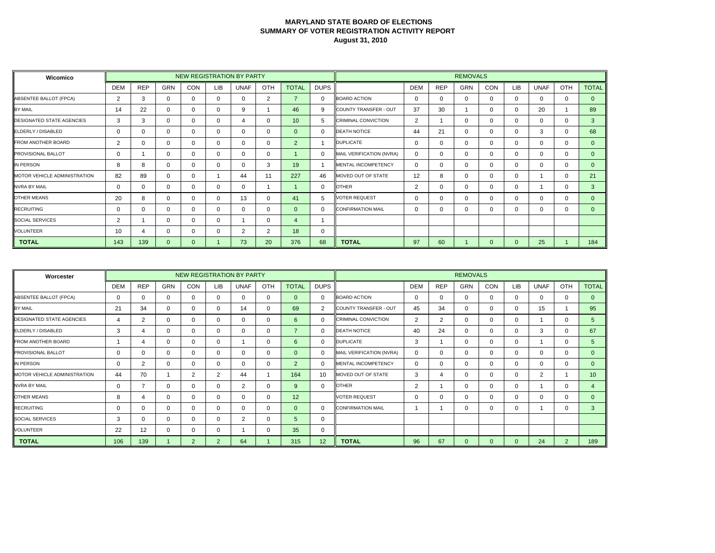| Wicomico                            |                |            |              |     |     | <b>NEW REGISTRATION BY PARTY</b> |                |                |             |                            |                |            | <b>REMOVALS</b> |              |              |             |          |              |
|-------------------------------------|----------------|------------|--------------|-----|-----|----------------------------------|----------------|----------------|-------------|----------------------------|----------------|------------|-----------------|--------------|--------------|-------------|----------|--------------|
|                                     | <b>DEM</b>     | <b>REP</b> | <b>GRN</b>   | CON | LIB | <b>UNAF</b>                      | OTH            | <b>TOTAL</b>   | <b>DUPS</b> |                            | <b>DEM</b>     | <b>REP</b> | <b>GRN</b>      | CON          | <b>LIB</b>   | <b>UNAF</b> | OTH      | <b>TOTAL</b> |
| ABSENTEE BALLOT (FPCA)              | $\overline{2}$ | 3          | $\Omega$     |     | 0   | $\Omega$                         | $\overline{2}$ | $\overline{7}$ | $\Omega$    | <b>BOARD ACTION</b>        | $\Omega$       | $\Omega$   | 0               | $\Omega$     | $\Omega$     | $\Omega$    | $\Omega$ | $\Omega$     |
| BY MAIL                             | 14             | 22         | 0            |     | 0   | 9                                |                | 46             | 9           | COUNTY TRANSFER - OUT      | 37             | 30         |                 | $\Omega$     | $\Omega$     | 20          |          | 89           |
| <b>DESIGNATED STATE AGENCIES</b>    | 3              | 3          | 0            |     | 0   | 4                                | 0              | 10             | 5           | <b>CRIMINAL CONVICTION</b> | $\overline{2}$ |            |                 | $\Omega$     | $\Omega$     | $\Omega$    | $\Omega$ | $\mathbf{3}$ |
| ELDERLY / DISABLED                  | 0              | $\Omega$   | 0            |     | 0   | 0                                | 0              | $\Omega$       | $\Omega$    | <b>DEATH NOTICE</b>        | 44             | 21         | 0               | $\Omega$     | $\Omega$     | 3           | $\Omega$ | 68           |
| <b>FROM ANOTHER BOARD</b>           | $\overline{2}$ | 0          | $\Omega$     |     | 0   | $\mathbf{0}$                     | 0              | 2              |             | <b>DUPLICATE</b>           | $\Omega$       | $\Omega$   | 0               | $\Omega$     | $\Omega$     | $\Omega$    | $\Omega$ | $\Omega$     |
| <b>PROVISIONAL BALLOT</b>           | 0              |            | 0            |     | 0   | $\Omega$                         | 0              |                | $\Omega$    | MAIL VERIFICATION (NVRA)   | $\Omega$       | 0          | 0               | $\Omega$     | $\Omega$     | $\Omega$    | $\Omega$ | $\Omega$     |
| IN PERSON                           | 8              | 8          | 0            |     | 0   | $\Omega$                         | 3              | 19             |             | <b>MENTAL INCOMPETENCY</b> | $\Omega$       | $\Omega$   | 0               | $\Omega$     | $\Omega$     | $\Omega$    | $\Omega$ | $\Omega$     |
| <b>MOTOR VEHICLE ADMINISTRATION</b> | 82             | 89         | 0            | n   |     | 44                               | 11             | 227            | 46          | MOVED OUT OF STATE         | 12             | 8          | 0               | $\Omega$     | $\Omega$     |             | $\Omega$ | 21           |
| <b>NVRA BY MAIL</b>                 | 0              | $\Omega$   | 0            |     | 0   | 0                                |                |                | 0           | <b>OTHER</b>               | $\overline{2}$ |            | 0               | $\Omega$     | 0            |             | $\Omega$ | 3            |
| <b>OTHER MEANS</b>                  | 20             | 8          | 0            |     | 0   | 13                               | $\mathbf{0}$   | 41             | 5           | <b>VOTER REQUEST</b>       | $\Omega$       | 0          | 0               | $\Omega$     | $\Omega$     | $\Omega$    | $\Omega$ | $\Omega$     |
| <b>RECRUITING</b>                   | 0              | $\Omega$   | 0            |     | 0   | 0                                | 0              | $\Omega$       | $\Omega$    | <b>CONFIRMATION MAIL</b>   | $\Omega$       | 0          | 0               | $\Omega$     | 0            | $\Omega$    | 0        | $\Omega$     |
| <b>SOCIAL SERVICES</b>              | $\overline{2}$ |            | 0            |     | 0   |                                  | $\Omega$       | $\overline{4}$ |             |                            |                |            |                 |              |              |             |          |              |
| <b>VOLUNTEER</b>                    | 10             |            | 0            |     | 0   | 2                                | 2              | 18             | 0           |                            |                |            |                 |              |              |             |          |              |
| <b>TOTAL</b>                        | 143            | 139        | $\mathbf{0}$ | 0   |     | 73                               | 20             | 376            | 68          | <b>TOTAL</b>               | 97             | 60         |                 | $\mathbf{0}$ | $\mathbf{0}$ | 25          |          | 184          |

| Worcester                        |            |                |            |                |     | NEW REGISTRATION BY PARTY |              |                |                 | <b>REMOVALS</b>            |            |            |              |          |            |             |                |                 |  |
|----------------------------------|------------|----------------|------------|----------------|-----|---------------------------|--------------|----------------|-----------------|----------------------------|------------|------------|--------------|----------|------------|-------------|----------------|-----------------|--|
|                                  | <b>DEM</b> | <b>REP</b>     | <b>GRN</b> | <b>CON</b>     | LIB | <b>UNAF</b>               | OTH          | <b>TOTAL</b>   | <b>DUPS</b>     |                            | <b>DEM</b> | <b>REP</b> | <b>GRN</b>   | CON      | <b>LIB</b> | <b>UNAF</b> | OTH            | <b>TOTAL</b>    |  |
| ABSENTEE BALLOT (FPCA)           | 0          | 0              | $\Omega$   | 0              | 0   | $\Omega$                  | 0            | $\Omega$       | 0               | <b>BOARD ACTION</b>        | 0          | 0          | $\mathbf 0$  | $\Omega$ | 0          | $\Omega$    | $\Omega$       | $\overline{0}$  |  |
| BY MAIL                          | 21         | 34             | 0          | 0              |     | 14                        | 0            | 69             | 2               | COUNTY TRANSFER - OUT      | 45         | 34         | $\mathbf{0}$ | $\Omega$ | 0          | 15          |                | 95              |  |
| <b>DESIGNATED STATE AGENCIES</b> | 4          | $\overline{2}$ | 0          | 0              |     | 0                         | 0            | 6              | $\mathbf{0}$    | <b>CRIMINAL CONVICTION</b> | 2          | 2          | $\mathbf 0$  | $\Omega$ | 0          |             | $\mathbf{0}$   | 5               |  |
| ELDERLY / DISABLED               | 3          | 4              | $\Omega$   | $\Omega$       |     | $\Omega$                  | 0            | $\overline{7}$ | $\Omega$        | <b>DEATH NOTICE</b>        | 40         | 24         | $\Omega$     | $\Omega$ | 0          | 3           | $\Omega$       | 67              |  |
| <b>FROM ANOTHER BOARD</b>        |            | 4              | $\Omega$   | 0              |     |                           | 0            | 6              | 0               | <b>DUPLICATE</b>           | 3          |            | $\mathbf{0}$ | $\Omega$ | 0          |             | 0              | 5               |  |
| <b>PROVISIONAL BALLOT</b>        | 0          | $\mathbf 0$    | $\Omega$   | 0              |     | $\Omega$                  | $\mathbf 0$  | $\Omega$       | $\mathbf{0}$    | MAIL VERIFICATION (NVRA)   | $\Omega$   | 0          | $\mathbf 0$  | $\Omega$ | 0          | $\Omega$    | $\mathbf{0}$   | $\mathbf{0}$    |  |
| IN PERSON                        | 0          | 2              | $\Omega$   | $\Omega$       |     | 0                         | $\mathbf 0$  | $\overline{2}$ | $\Omega$        | MENTAL INCOMPETENCY        | 0          | 0          | $\mathbf{0}$ | $\Omega$ | 0          | $\Omega$    | $\Omega$       | $\Omega$        |  |
| MOTOR VEHICLE ADMINISTRATION     | 44         | 70             |            | $\overline{2}$ | 2   | 44                        |              | 164            | 10 <sup>1</sup> | MOVED OUT OF STATE         | 3          |            | $\mathbf{0}$ | $\Omega$ | 0          | 2           |                | 10 <sup>1</sup> |  |
| <b>NVRA BY MAIL</b>              | 0          |                | $\Omega$   | 0              |     | 2                         | $\mathbf{0}$ | 9              | $\mathbf{0}$    | <b>OTHER</b>               | 2          |            | $\Omega$     | $\Omega$ | 0          |             | $\mathbf{0}$   | 4               |  |
| <b>OTHER MEANS</b>               | 8          | 4              | $\Omega$   | 0              |     | 0                         | 0            | 12             |                 | <b>VOTER REQUEST</b>       | 0          | 0          | $\Omega$     | $\Omega$ | 0          | $\Omega$    | $\Omega$       | $\Omega$        |  |
| <b>RECRUITING</b>                | 0          | 0              | $\Omega$   | $\Omega$       |     | $\mathbf{0}$              | $\mathbf{0}$ | $\Omega$       | $\Omega$        | <b>CONFIRMATION MAIL</b>   |            |            | $\mathbf{0}$ | $\Omega$ | $\Omega$   |             | $\Omega$       | 3               |  |
| SOCIAL SERVICES                  | 3          | 0              | $\Omega$   | $\Omega$       |     | 2                         | $\mathbf 0$  | $\overline{5}$ | 0               |                            |            |            |              |          |            |             |                |                 |  |
| <b>VOLUNTEER</b>                 | 22         | 12             | 0          | 0              |     |                           | 0            | 35             | 0               |                            |            |            |              |          |            |             |                |                 |  |
| <b>TOTAL</b>                     | 106        | 139            |            | $\overline{2}$ | 2   | 64                        |              | 315            | 12              | <b>TOTAL</b>               | 96         | 67         | $\Omega$     | $\Omega$ | $\Omega$   | 24          | $\overline{2}$ | 189             |  |